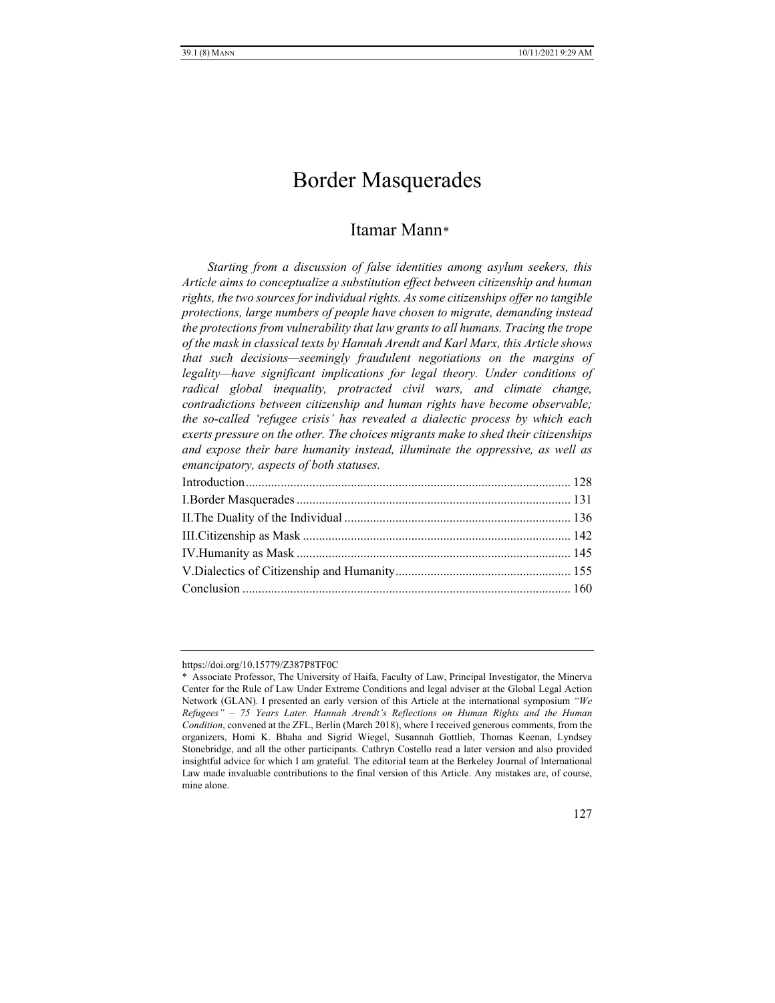# Border Masquerades

## Itamar Mann[\\*](#page-0-0)

*Starting from a discussion of false identities among asylum seekers, this Article aims to conceptualize a substitution effect between citizenship and human rights, the two sources for individual rights. As some citizenships offer no tangible protections, large numbers of people have chosen to migrate, demanding instead the protections from vulnerability that law grants to all humans. Tracing the trope of the mask in classical texts by Hannah Arendt and Karl Marx, this Article shows that such decisions—seemingly fraudulent negotiations on the margins of legality—have significant implications for legal theory. Under conditions of radical global inequality, protracted civil wars, and climate change, contradictions between citizenship and human rights have become observable; the so-called 'refugee crisis' has revealed a dialectic process by which each exerts pressure on the other. The choices migrants make to shed their citizenships and expose their bare humanity instead, illuminate the oppressive, as well as emancipatory, aspects of both statuses.*

<span id="page-0-0"></span>https://doi.org/10.15779/Z387P8TF0C

<sup>\*</sup> Associate Professor, The University of Haifa, Faculty of Law, Principal Investigator, the Minerva Center for the Rule of Law Under Extreme Conditions and legal adviser at the Global Legal Action Network (GLAN). I presented an early version of this Article at the international symposium *"We Refugees" – 75 Years Later. Hannah Arendt's Reflections on Human Rights and the Human Condition*, convened at the ZFL, Berlin (March 2018), where I received generous comments, from the organizers, Homi K. Bhaha and Sigrid Wiegel, Susannah Gottlieb, Thomas Keenan, Lyndsey Stonebridge, and all the other participants. Cathryn Costello read a later version and also provided insightful advice for which I am grateful. The editorial team at the Berkeley Journal of International Law made invaluable contributions to the final version of this Article. Any mistakes are, of course, mine alone.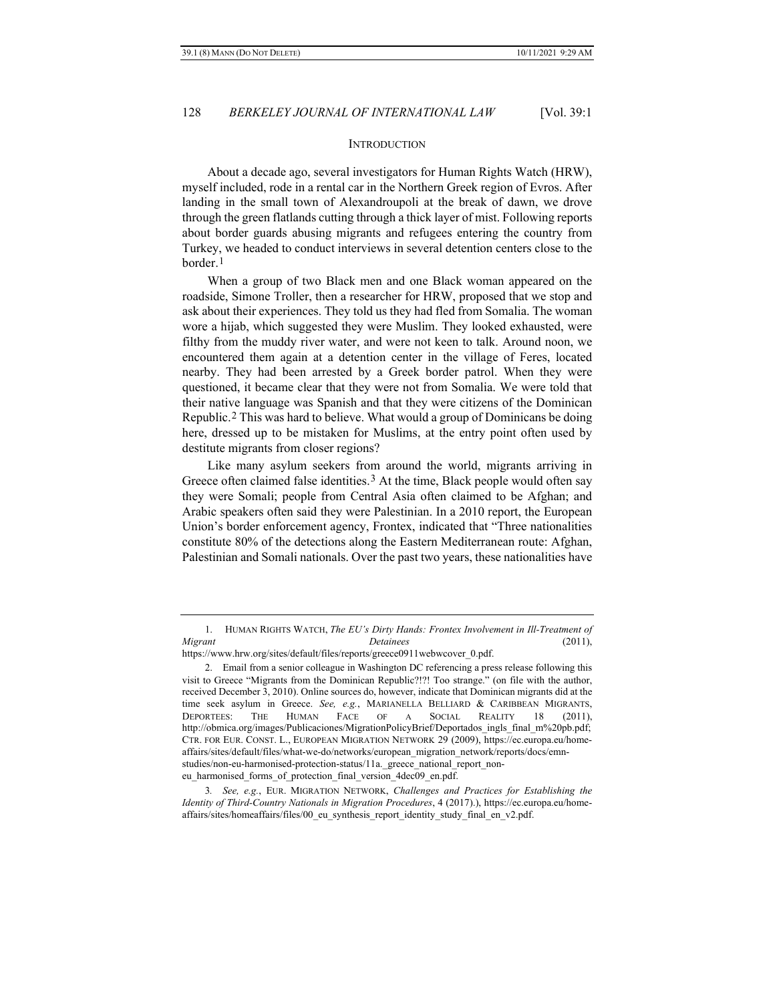#### **INTRODUCTION**

About a decade ago, several investigators for Human Rights Watch (HRW), myself included, rode in a rental car in the Northern Greek region of Evros. After landing in the small town of Alexandroupoli at the break of dawn, we drove through the green flatlands cutting through a thick layer of mist. Following reports about border guards abusing migrants and refugees entering the country from Turkey, we headed to conduct interviews in several detention centers close to the border.[1](#page-1-0)

When a group of two Black men and one Black woman appeared on the roadside, Simone Troller, then a researcher for HRW, proposed that we stop and ask about their experiences. They told us they had fled from Somalia. The woman wore a hijab, which suggested they were Muslim. They looked exhausted, were filthy from the muddy river water, and were not keen to talk. Around noon, we encountered them again at a detention center in the village of Feres, located nearby. They had been arrested by a Greek border patrol. When they were questioned, it became clear that they were not from Somalia. We were told that their native language was Spanish and that they were citizens of the Dominican Republic.[2](#page-1-1) This was hard to believe. What would a group of Dominicans be doing here, dressed up to be mistaken for Muslims, at the entry point often used by destitute migrants from closer regions?

Like many asylum seekers from around the world, migrants arriving in Greece often claimed false identities.<sup>[3](#page-1-2)</sup> At the time, Black people would often say they were Somali; people from Central Asia often claimed to be Afghan; and Arabic speakers often said they were Palestinian. In a 2010 report, the European Union's border enforcement agency, Frontex, indicated that "Three nationalities constitute 80% of the detections along the Eastern Mediterranean route: Afghan, Palestinian and Somali nationals. Over the past two years, these nationalities have

<span id="page-1-0"></span><sup>1.</sup> HUMAN RIGHTS WATCH, *The EU's Dirty Hands: Frontex Involvement in Ill-Treatment of Migrant Detainees* (2011), https://www.hrw.org/sites/default/files/reports/greece0911webwcover\_0.pdf.

<span id="page-1-1"></span><sup>2.</sup> Email from a senior colleague in Washington DC referencing a press release following this visit to Greece "Migrants from the Dominican Republic?!?! Too strange." (on file with the author, received December 3, 2010). Online sources do, however, indicate that Dominican migrants did at the time seek asylum in Greece. *See, e.g.*, MARIANELLA BELLIARD & CARIBBEAN MIGRANTS, DEPORTEES: THE HUMAN FACE OF A SOCIAL REALITY 18 (2011), http://obmica.org/images/Publicaciones/MigrationPolicyBrief/Deportados\_ingls\_final\_m%20pb.pdf; CTR. FOR EUR. CONST. L., EUROPEAN MIGRATION NETWORK 29 (2009), https://ec.europa.eu/homeaffairs/sites/default/files/what-we-do/networks/european\_migration\_network/reports/docs/emnstudies/non-eu-harmonised-protection-status/11a. greece\_national\_report\_noneu harmonised forms of protection final version 4dec09 en.pdf.

<span id="page-1-2"></span><sup>3</sup>*. See, e.g.*, EUR. MIGRATION NETWORK, *Challenges and Practices for Establishing the Identity of Third-Country Nationals in Migration Procedures*, 4 (2017).), https://ec.europa.eu/homeaffairs/sites/homeaffairs/files/00\_eu\_synthesis\_report\_identity\_study\_final\_en\_v2.pdf.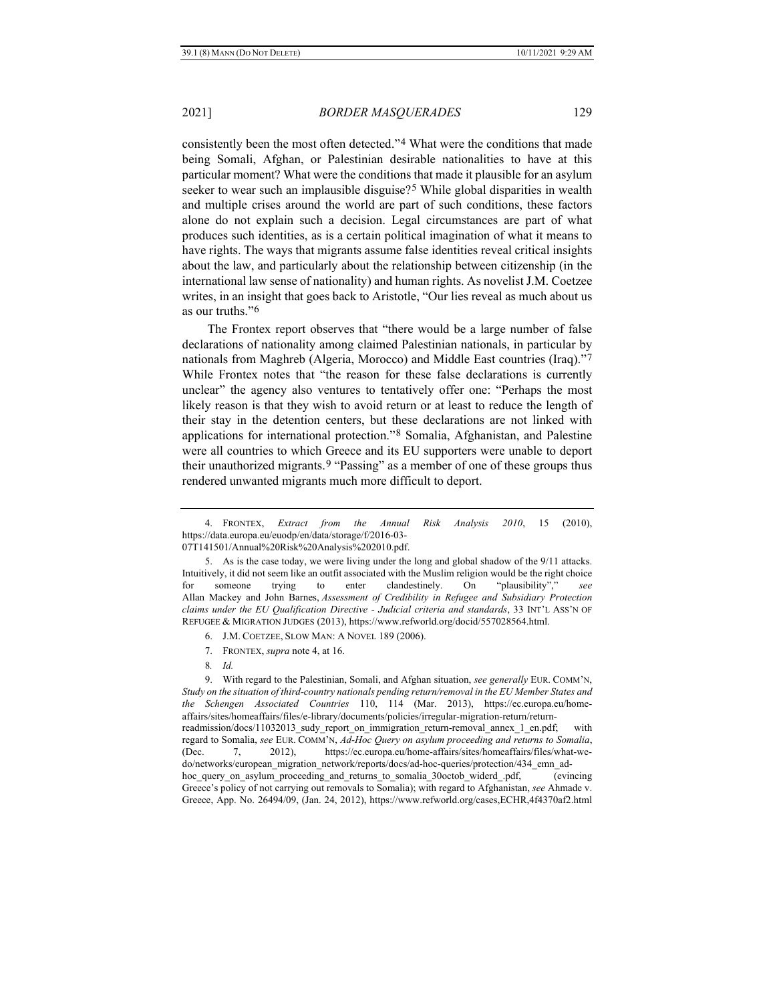consistently been the most often detected."[4](#page-2-1) What were the conditions that made being Somali, Afghan, or Palestinian desirable nationalities to have at this particular moment? What were the conditions that made it plausible for an asylum seeker to wear such an implausible disguise?[5](#page-2-2) While global disparities in wealth and multiple crises around the world are part of such conditions, these factors alone do not explain such a decision. Legal circumstances are part of what produces such identities, as is a certain political imagination of what it means to have rights. The ways that migrants assume false identities reveal critical insights about the law, and particularly about the relationship between citizenship (in the international law sense of nationality) and human rights. As novelist J.M. Coetzee writes, in an insight that goes back to Aristotle, "Our lies reveal as much about us as our truths."[6](#page-2-3)

The Frontex report observes that "there would be a large number of false declarations of nationality among claimed Palestinian nationals, in particular by nationals from Maghreb (Algeria, Morocco) and Middle East countries (Iraq)."[7](#page-2-4) While Frontex notes that "the reason for these false declarations is currently unclear" the agency also ventures to tentatively offer one: "Perhaps the most likely reason is that they wish to avoid return or at least to reduce the length of their stay in the detention centers, but these declarations are not linked with applications for international protection."[8](#page-2-5) Somalia, Afghanistan, and Palestine were all countries to which Greece and its EU supporters were unable to deport their unauthorized migrants.<sup>[9](#page-2-6)</sup> "Passing" as a member of one of these groups thus rendered unwanted migrants much more difficult to deport.

- 7. FRONTEX, *supra* note [4,](#page-2-0) at 16.
- 8*. Id.*

<span id="page-2-0"></span>

<span id="page-2-7"></span><span id="page-2-1"></span><sup>4.</sup> FRONTEX, *Extract from the Annual Risk Analysis 2010*, 15 (2010), https://data.europa.eu/euodp/en/data/storage/f/2016-03- 07T141501/Annual%20Risk%20Analysis%202010.pdf.

<sup>5.</sup> As is the case today, we were living under the long and global shadow of the 9/11 attacks.

<span id="page-2-2"></span>Intuitively, it did not seem like an outfit associated with the Muslim religion would be the right choice for someone trying to enter clandestinely. On "plausibility"," *see* Allan Mackey and John Barnes, *Assessment of Credibility in Refugee and Subsidiary Protection claims under the EU Qualification Directive - Judicial criteria and standards*, 33 INT'L ASS'N OF REFUGEE & MIGRATION JUDGES (2013), https://www.refworld.org/docid/557028564.html.

<sup>6.</sup> J.M. COETZEE, SLOW MAN: A NOVEL 189 (2006).

<span id="page-2-6"></span><span id="page-2-5"></span><span id="page-2-4"></span><span id="page-2-3"></span><sup>9.</sup> With regard to the Palestinian, Somali, and Afghan situation, *see generally* EUR. COMM'N, *Study on the situation of third-country nationals pending return/removal in the EU Member States and the Schengen Associated Countries* 110, 114 (Mar. 2013), https://ec.europa.eu/homeaffairs/sites/homeaffairs/files/e-library/documents/policies/irregular-migration-return/returnreadmission/docs/11032013\_sudy\_report\_on\_immigration\_return-removal\_annex\_1\_en.pdf; with regard to Somalia, *see* EUR. COMM'N, *Ad-Hoc Query on asylum proceeding and returns to Somalia*, (Dec. 7, 2012), https://ec.europa.eu/home-affairs/sites/homeaffairs/files/what-wedo/networks/european\_migration\_network/reports/docs/ad-hoc-queries/protection/434\_emn\_adhoc\_query\_on\_asylum\_proceeding\_and\_returns\_to\_somalia\_30octob\_widerd\_.pdf, (evincing Greece's policy of not carrying out removals to Somalia); with regard to Afghanistan, *see* Ahmade v. Greece, App. No. 26494/09, (Jan. 24, 2012), https://www.refworld.org/cases,ECHR,4f4370af2.html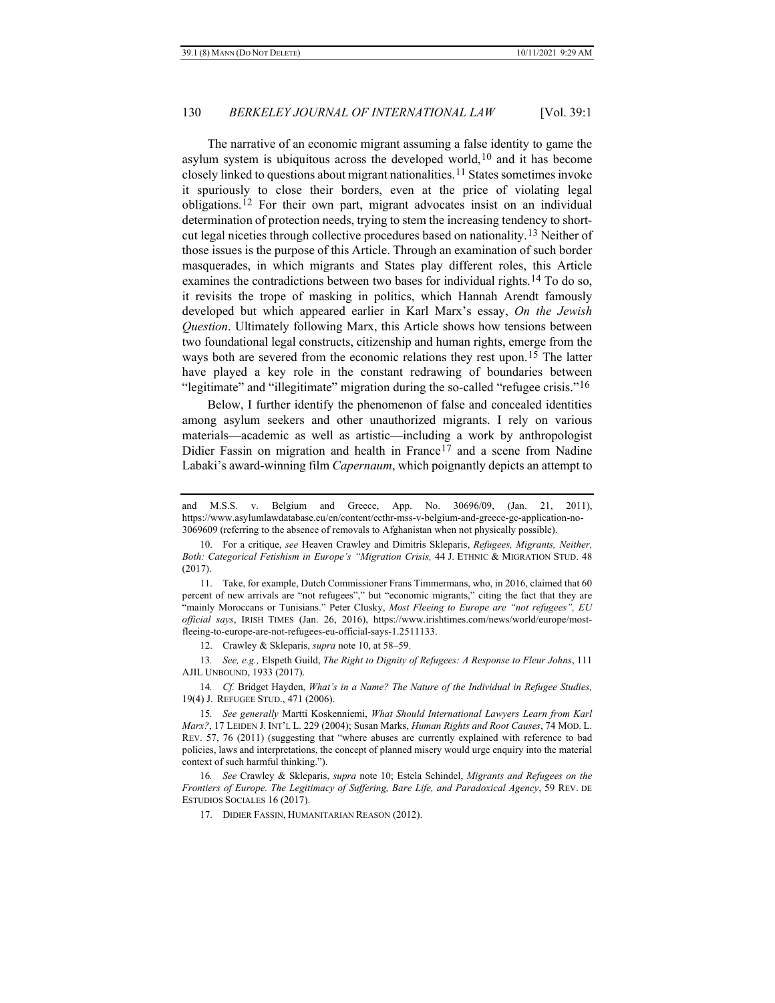<span id="page-3-0"></span>The narrative of an economic migrant assuming a false identity to game the asylum system is ubiquitous across the developed world,  $10$  and it has become closely linked to questions about migrant nationalities.[11](#page-3-2) States sometimes invoke it spuriously to close their borders, even at the price of violating legal obligations.[12](#page-3-3) For their own part, migrant advocates insist on an individual determination of protection needs, trying to stem the increasing tendency to shortcut legal niceties through collective procedures based on nationality.[13](#page-3-4) Neither of those issues is the purpose of this Article. Through an examination of such border masquerades, in which migrants and States play different roles, this Article examines the contradictions between two bases for individual rights.[14](#page-3-5) To do so, it revisits the trope of masking in politics, which Hannah Arendt famously developed but which appeared earlier in Karl Marx's essay, *On the Jewish Question*. Ultimately following Marx, this Article shows how tensions between two foundational legal constructs, citizenship and human rights, emerge from the ways both are severed from the economic relations they rest upon.[15](#page-3-6) The latter have played a key role in the constant redrawing of boundaries between "legitimate" and "illegitimate" migration during the so-called "refugee crisis."[16](#page-3-7)

<span id="page-3-11"></span><span id="page-3-10"></span><span id="page-3-9"></span>Below, I further identify the phenomenon of false and concealed identities among asylum seekers and other unauthorized migrants. I rely on various materials—academic as well as artistic—including a work by anthropologist Didier Fassin on migration and health in France<sup>[17](#page-3-8)</sup> and a scene from Nadine Labaki's award-winning film *Capernaum*, which poignantly depicts an attempt to

12. Crawley & Skleparis, *supra* note [10,](#page-3-0) at 58–59.

<span id="page-3-4"></span><span id="page-3-3"></span>13*. See, e.g.,* Elspeth Guild, *The Right to Dignity of Refugees: A Response to Fleur Johns*, 111 AJIL UNBOUND, 1933 (2017).

<span id="page-3-5"></span>14*. Cf.* Bridget Hayden, *What's in a Name? The Nature of the Individual in Refugee Studies,* 19(4) J. REFUGEE STUD., 471 (2006).

17. DIDIER FASSIN, HUMANITARIAN REASON (2012).

and M.S.S. v. Belgium and Greece, App. No. 30696/09, (Jan. 21, 2011), https://www.asylumlawdatabase.eu/en/content/ecthr-mss-v-belgium-and-greece-gc-application-no-3069609 (referring to the absence of removals to Afghanistan when not physically possible).

<span id="page-3-1"></span><sup>10.</sup> For a critique, *see* Heaven Crawley and Dimitris Skleparis, *Refugees, Migrants, Neither, Both: Categorical Fetishism in Europe's "Migration Crisis,* 44 J. ETHNIC & MIGRATION STUD. 48 (2017).

<span id="page-3-2"></span><sup>11.</sup> Take, for example, Dutch Commissioner Frans Timmermans, who, in 2016, claimed that 60 percent of new arrivals are "not refugees"," but "economic migrants," citing the fact that they are "mainly Moroccans or Tunisians." Peter Clusky, *Most Fleeing to Europe are "not refugees", EU official says*, IRISH TIMES (Jan. 26, 2016), https://www.irishtimes.com/news/world/europe/mostfleeing-to-europe-are-not-refugees-eu-official-says-1.2511133.

<span id="page-3-6"></span><sup>15</sup>*. See generally* Martti Koskenniemi, *What Should International Lawyers Learn from Karl Marx?*, 17 LEIDEN J. INT'L L. 229 (2004); Susan Marks, *Human Rights and Root Causes*, 74 MOD. L. REV. 57, 76 (2011) (suggesting that "where abuses are currently explained with reference to bad policies, laws and interpretations, the concept of planned misery would urge enquiry into the material context of such harmful thinking.").

<span id="page-3-8"></span><span id="page-3-7"></span><sup>16</sup>*. See* Crawley & Skleparis, *supra* note [10;](#page-3-0) Estela Schindel, *Migrants and Refugees on the Frontiers of Europe. The Legitimacy of Suffering, Bare Life, and Paradoxical Agency*, 59 REV. DE ESTUDIOS SOCIALES 16 (2017).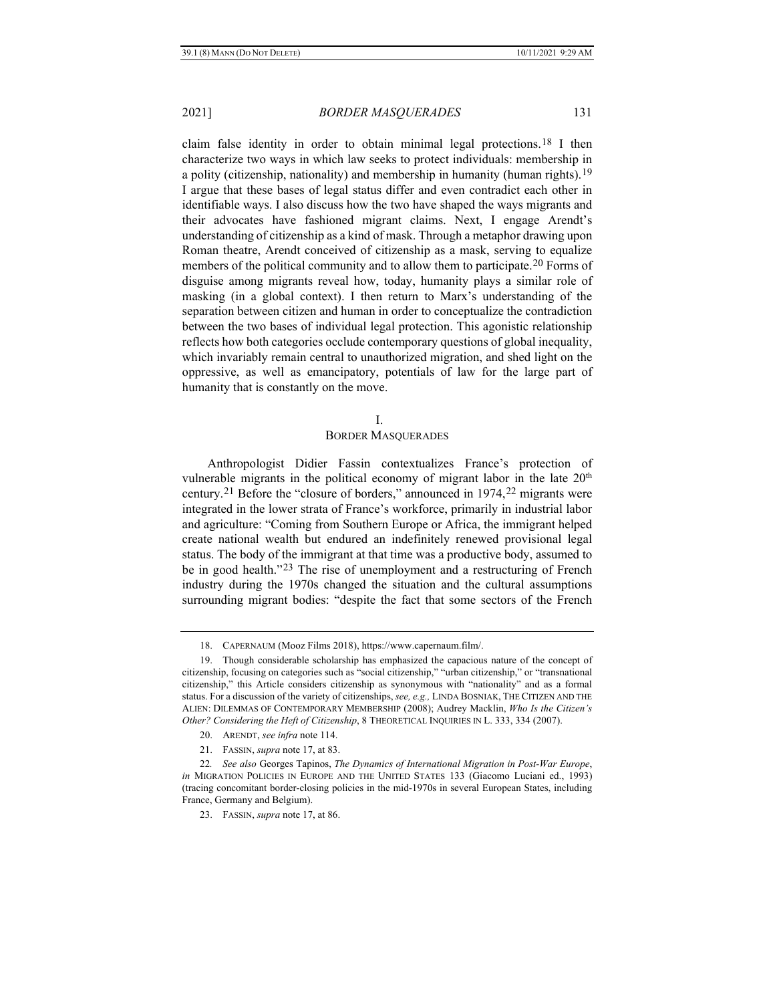<span id="page-4-7"></span><span id="page-4-6"></span>

claim false identity in order to obtain minimal legal protections.[18](#page-4-0) I then characterize two ways in which law seeks to protect individuals: membership in a polity (citizenship, nationality) and membership in humanity (human rights).[19](#page-4-1) I argue that these bases of legal status differ and even contradict each other in identifiable ways. I also discuss how the two have shaped the ways migrants and their advocates have fashioned migrant claims. Next, I engage Arendt's understanding of citizenship as a kind of mask. Through a metaphor drawing upon Roman theatre, Arendt conceived of citizenship as a mask, serving to equalize members of the political community and to allow them to participate.<sup>[20](#page-4-2)</sup> Forms of disguise among migrants reveal how, today, humanity plays a similar role of masking (in a global context). I then return to Marx's understanding of the separation between citizen and human in order to conceptualize the contradiction between the two bases of individual legal protection. This agonistic relationship reflects how both categories occlude contemporary questions of global inequality, which invariably remain central to unauthorized migration, and shed light on the oppressive, as well as emancipatory, potentials of law for the large part of humanity that is constantly on the move.

#### I.

#### BORDER MASQUERADES

Anthropologist Didier Fassin contextualizes France's protection of vulnerable migrants in the political economy of migrant labor in the late 20<sup>th</sup> century.[21](#page-4-3) Before the "closure of borders," announced in 1974,[22](#page-4-4) migrants were integrated in the lower strata of France's workforce, primarily in industrial labor and agriculture: "Coming from Southern Europe or Africa, the immigrant helped create national wealth but endured an indefinitely renewed provisional legal status. The body of the immigrant at that time was a productive body, assumed to be in good health."[23](#page-4-5) The rise of unemployment and a restructuring of French industry during the 1970s changed the situation and the cultural assumptions surrounding migrant bodies: "despite the fact that some sectors of the French

<sup>18.</sup> CAPERNAUM (Mooz Films 2018), https://www.capernaum.film/.

<span id="page-4-1"></span><span id="page-4-0"></span><sup>19.</sup> Though considerable scholarship has emphasized the capacious nature of the concept of citizenship, focusing on categories such as "social citizenship," "urban citizenship," or "transnational citizenship," this Article considers citizenship as synonymous with "nationality" and as a formal status. For a discussion of the variety of citizenships, *see, e.g.,* LINDA BOSNIAK, THE CITIZEN AND THE ALIEN: DILEMMAS OF CONTEMPORARY MEMBERSHIP (2008); Audrey Macklin, *Who Is the Citizen's Other? Considering the Heft of Citizenship*, 8 THEORETICAL INQUIRIES IN L. 333, 334 (2007).

<sup>20.</sup> ARENDT, *see infra* note [114.](#page-16-0)

<sup>21.</sup> FASSIN, *supra* not[e 17,](#page-3-9) at 83.

<span id="page-4-5"></span><span id="page-4-4"></span><span id="page-4-3"></span><span id="page-4-2"></span><sup>22</sup>*. See also* Georges Tapinos, *The Dynamics of International Migration in Post-War Europe*, *in* MIGRATION POLICIES IN EUROPE AND THE UNITED STATES 133 (Giacomo Luciani ed., 1993) (tracing concomitant border-closing policies in the mid-1970s in several European States, including France, Germany and Belgium).

<sup>23.</sup> FASSIN, *supra* not[e 17,](#page-3-9) at 86.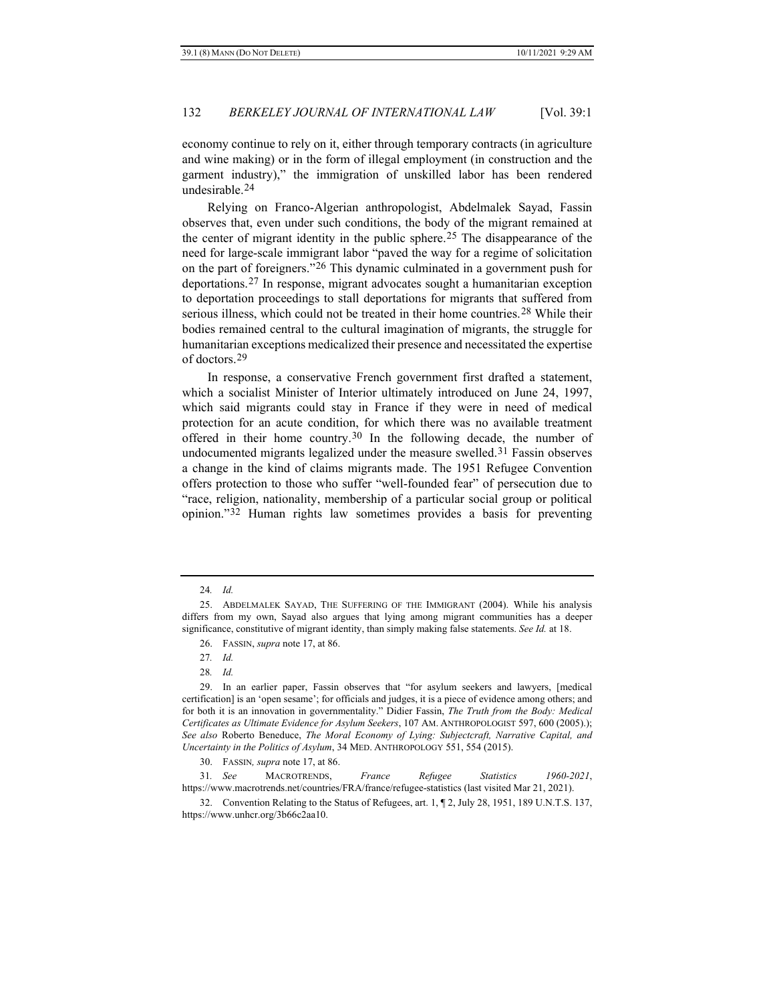economy continue to rely on it, either through temporary contracts (in agriculture and wine making) or in the form of illegal employment (in construction and the garment industry)," the immigration of unskilled labor has been rendered undesirable.[24](#page-5-0)

Relying on Franco-Algerian anthropologist, Abdelmalek Sayad, Fassin observes that, even under such conditions, the body of the migrant remained at the center of migrant identity in the public sphere.[25](#page-5-1) The disappearance of the need for large-scale immigrant labor "paved the way for a regime of solicitation on the part of foreigners."[26](#page-5-2) This dynamic culminated in a government push for deportations.[27](#page-5-3) In response, migrant advocates sought a humanitarian exception to deportation proceedings to stall deportations for migrants that suffered from serious illness, which could not be treated in their home countries.[28](#page-5-4) While their bodies remained central to the cultural imagination of migrants, the struggle for humanitarian exceptions medicalized their presence and necessitated the expertise of doctors.[29](#page-5-5)

<span id="page-5-9"></span>In response, a conservative French government first drafted a statement, which a socialist Minister of Interior ultimately introduced on June 24, 1997, which said migrants could stay in France if they were in need of medical protection for an acute condition, for which there was no available treatment offered in their home country.<sup>[30](#page-5-6)</sup> In the following decade, the number of undocumented migrants legalized under the measure swelled.<sup>31</sup> Fassin observes a change in the kind of claims migrants made. The 1951 Refugee Convention offers protection to those who suffer "well-founded fear" of persecution due to "race, religion, nationality, membership of a particular social group or political opinion."[32](#page-5-8) Human rights law sometimes provides a basis for preventing

<sup>24</sup>*. Id.*

<span id="page-5-2"></span><span id="page-5-1"></span><span id="page-5-0"></span><sup>25.</sup> ABDELMALEK SAYAD, THE SUFFERING OF THE IMMIGRANT (2004). While his analysis differs from my own, Sayad also argues that lying among migrant communities has a deeper significance, constitutive of migrant identity, than simply making false statements. *See Id.* at 18.

<sup>26.</sup> FASSIN, *supra* not[e 17,](#page-3-9) at 86.

<sup>27</sup>*. Id.*

<sup>28</sup>*. Id.*

<span id="page-5-5"></span><span id="page-5-4"></span><span id="page-5-3"></span><sup>29.</sup> In an earlier paper, Fassin observes that "for asylum seekers and lawyers, [medical certification] is an 'open sesame'; for officials and judges, it is a piece of evidence among others; and for both it is an innovation in governmentality." Didier Fassin, *The Truth from the Body: Medical Certificates as Ultimate Evidence for Asylum Seekers*, 107 AM. ANTHROPOLOGIST 597, 600 (2005).); *See also* Roberto Beneduce, *The Moral Economy of Lying: Subjectcraft, Narrative Capital, and Uncertainty in the Politics of Asylum*, 34 MED. ANTHROPOLOGY 551, 554 (2015).

<sup>30.</sup> FASSIN*, supra* not[e 17,](#page-3-9) at 86.

<span id="page-5-7"></span><span id="page-5-6"></span><sup>31</sup>*. See* MACROTRENDS, *France Refugee Statistics 1960-2021*, https://www.macrotrends.net/countries/FRA/france/refugee-statistics (last visited Mar 21, 2021).

<span id="page-5-8"></span><sup>32.</sup> Convention Relating to the Status of Refugees, art. 1, ¶ 2, July 28, 1951, 189 U.N.T.S. 137, https://www.unhcr.org/3b66c2aa10.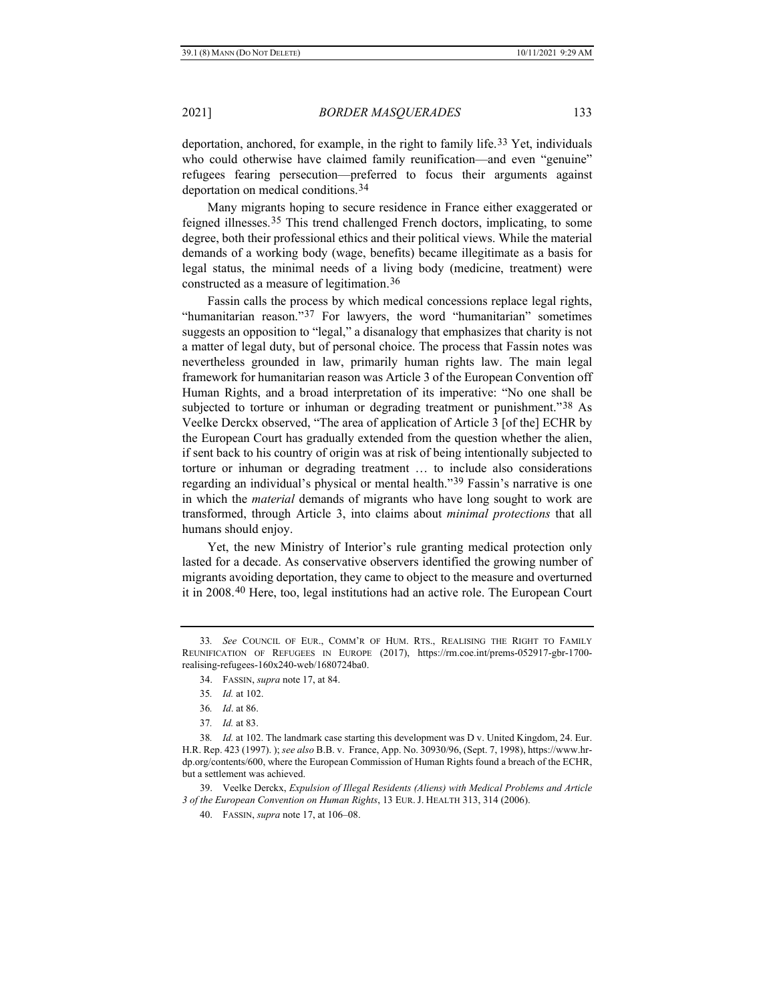deportation, anchored, for example, in the right to family life.[33](#page-6-0) Yet, individuals who could otherwise have claimed family reunification—and even "genuine" refugees fearing persecution—preferred to focus their arguments against deportation on medical conditions.[34](#page-6-1)

Many migrants hoping to secure residence in France either exaggerated or feigned illnesses.<sup>[35](#page-6-2)</sup> This trend challenged French doctors, implicating, to some degree, both their professional ethics and their political views. While the material demands of a working body (wage, benefits) became illegitimate as a basis for legal status, the minimal needs of a living body (medicine, treatment) were constructed as a measure of legitimation.[36](#page-6-3)

Fassin calls the process by which medical concessions replace legal rights, "humanitarian reason."[37](#page-6-4) For lawyers, the word "humanitarian" sometimes suggests an opposition to "legal," a disanalogy that emphasizes that charity is not a matter of legal duty, but of personal choice. The process that Fassin notes was nevertheless grounded in law, primarily human rights law. The main legal framework for humanitarian reason was Article 3 of the European Convention off Human Rights, and a broad interpretation of its imperative: "No one shall be subjected to torture or inhuman or degrading treatment or punishment."<sup>[38](#page-6-5)</sup> As Veelke Derckx observed, "The area of application of Article 3 [of the] ECHR by the European Court has gradually extended from the question whether the alien, if sent back to his country of origin was at risk of being intentionally subjected to torture or inhuman or degrading treatment … to include also considerations regarding an individual's physical or mental health.["39](#page-6-6) Fassin's narrative is one in which the *material* demands of migrants who have long sought to work are transformed, through Article 3, into claims about *minimal protections* that all humans should enjoy.

Yet, the new Ministry of Interior's rule granting medical protection only lasted for a decade. As conservative observers identified the growing number of migrants avoiding deportation, they came to object to the measure and overturned it in 2008.[40](#page-6-7) Here, too, legal institutions had an active role. The European Court

<span id="page-6-7"></span><span id="page-6-6"></span>39. Veelke Derckx, *Expulsion of Illegal Residents (Aliens) with Medical Problems and Article 3 of the European Convention on Human Rights*, 13 EUR. J. HEALTH 313, 314 (2006).

40. FASSIN, *supra* not[e 17,](#page-3-9) at 106–08.

<span id="page-6-1"></span><span id="page-6-0"></span><sup>33</sup>*. See* COUNCIL OF EUR., COMM'R OF HUM. RTS., REALISING THE RIGHT TO FAMILY REUNIFICATION OF REFUGEES IN EUROPE (2017), https://rm.coe.int/prems-052917-gbr-1700 realising-refugees-160x240-web/1680724ba0.

<sup>34.</sup> FASSIN, *supra* not[e 17,](#page-3-9) at 84.

<sup>35</sup>*. Id.* at 102.

<sup>36</sup>*. Id*. at 86.

<sup>37</sup>*. Id.* at 83.

<span id="page-6-5"></span><span id="page-6-4"></span><span id="page-6-3"></span><span id="page-6-2"></span><sup>38</sup>*. Id.* at 102. The landmark case starting this development was D v. United Kingdom, 24. Eur. H.R. Rep. 423 (1997). ); *see also* B.B. v. France, App. No. 30930/96, (Sept. 7, 1998), https://www.hrdp.org/contents/600, where the European Commission of Human Rights found a breach of the ECHR, but a settlement was achieved.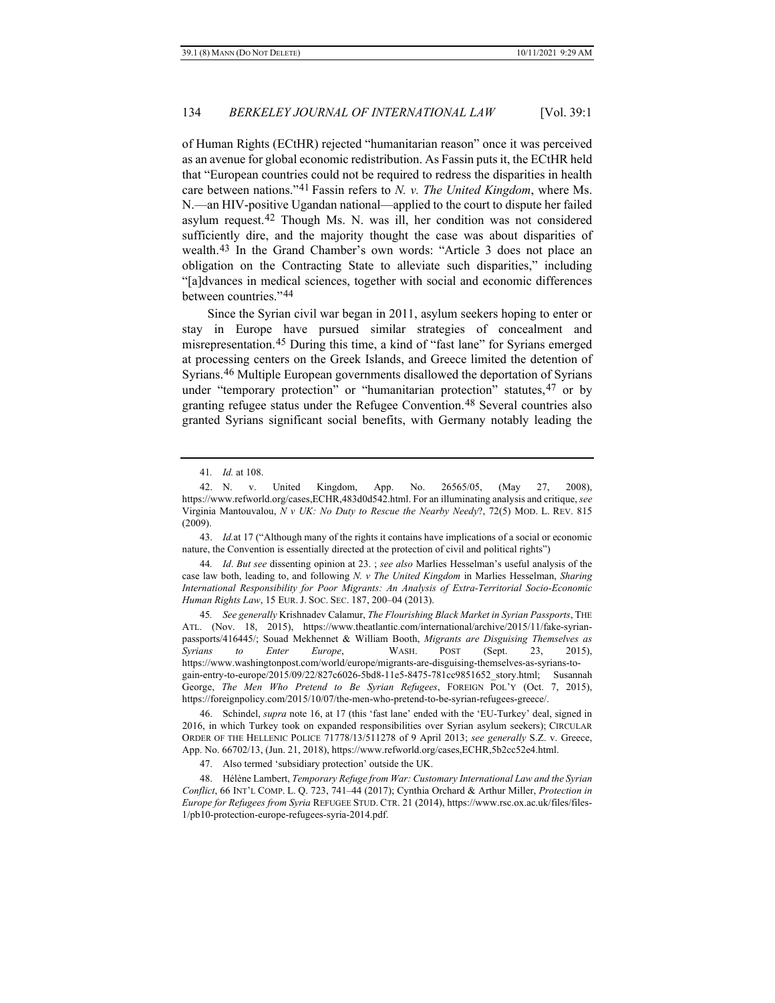<span id="page-7-9"></span>of Human Rights (ECtHR) rejected "humanitarian reason" once it was perceived as an avenue for global economic redistribution. As Fassin puts it, the ECtHR held that "European countries could not be required to redress the disparities in health care between nations."[41](#page-7-0) Fassin refers to *N. v. The United Kingdom*, where Ms. N.—an HIV-positive Ugandan national—applied to the court to dispute her failed asylum request.[42](#page-7-1) Though Ms. N. was ill, her condition was not considered sufficiently dire, and the majority thought the case was about disparities of wealth.[43](#page-7-2) In the Grand Chamber's own words: "Article 3 does not place an obligation on the Contracting State to alleviate such disparities," including "[a]dvances in medical sciences, together with social and economic differences between countries."[44](#page-7-3)

<span id="page-7-10"></span>Since the Syrian civil war began in 2011, asylum seekers hoping to enter or stay in Europe have pursued similar strategies of concealment and misrepresentation.[45](#page-7-4) During this time, a kind of "fast lane" for Syrians emerged at processing centers on the Greek Islands, and Greece limited the detention of Syrians.[46](#page-7-5) Multiple European governments disallowed the deportation of Syrians under "temporary protection" or "humanitarian protection" statutes, <sup>[47](#page-7-6)</sup> or by granting refugee status under the Refugee Convention.[48](#page-7-7) Several countries also granted Syrians significant social benefits, with Germany notably leading the

<span id="page-7-2"></span>43. *Id.*at 17 ("Although many of the rights it contains have implications of a social or economic nature, the Convention is essentially directed at the protection of civil and political rights")

<span id="page-7-3"></span>44*. Id*. *But see* dissenting opinion at 23. ; *see also* Marlies Hesselman's useful analysis of the case law both, leading to, and following *N. v The United Kingdom* in Marlies Hesselman, *Sharing International Responsibility for Poor Migrants: An Analysis of Extra-Territorial Socio-Economic Human Rights Law*, 15 EUR. J. SOC. SEC. 187, 200–04 (2013).

<span id="page-7-4"></span>45*. See generally* Krishnadev Calamur, *The Flourishing Black Market in Syrian Passports*, THE ATL. (Nov. 18, 2015), https://www.theatlantic.com/international/archive/2015/11/fake-syrianpassports/416445/; Souad Mekhennet & William Booth, *Migrants are Disguising Themselves as Syrians to Enter Europe*, WASH. POST (Sept. 23, 2015), https://www.washingtonpost.com/world/europe/migrants-are-disguising-themselves-as-syrians-togain-entry-to-europe/2015/09/22/827c6026-5bd8-11e5-8475-781cc9851652\_story.html; Susannah George, *The Men Who Pretend to Be Syrian Refugees*, FOREIGN POL'Y (Oct. 7, 2015), https://foreignpolicy.com/2015/10/07/the-men-who-pretend-to-be-syrian-refugees-greece/.

<span id="page-7-5"></span>46. Schindel, *supra* note [16,](#page-3-10) at 17 (this 'fast lane' ended with the 'EU-Turkey' deal, signed in 2016, in which Turkey took on expanded responsibilities over Syrian asylum seekers); CIRCULAR ORDER OF THE HELLENIC POLICE 71778/13/511278 of 9 April 2013; *see generally* S.Z. v. Greece, App. No. 66702/13, (Jun. 21, 2018), https://www.refworld.org/cases,ECHR,5b2cc52e4.html.

47. Also termed 'subsidiary protection' outside the UK.

<span id="page-7-7"></span><span id="page-7-6"></span>48. Hélène Lambert, *Temporary Refuge from War: Customary International Law and the Syrian Conflict*, 66 INT'L COMP. L. Q. 723, 741–44 (2017); Cynthia Orchard & Arthur Miller, *Protection in Europe for Refugees from Syria* REFUGEE STUD. CTR. 21 (2014), https://www.rsc.ox.ac.uk/files/files-1/pb10-protection-europe-refugees-syria-2014.pdf.

<span id="page-7-8"></span><sup>41</sup>*. Id.* at 108.

<span id="page-7-1"></span><span id="page-7-0"></span><sup>42.</sup> N. v. United Kingdom, App. No. 26565/05, (May 27, 2008), https://www.refworld.org/cases,ECHR,483d0d542.html. For an illuminating analysis and critique, *see*  Virginia Mantouvalou, *N v UK: No Duty to Rescue the Nearby Needy*?, 72(5) MOD. L. REV. 815 (2009).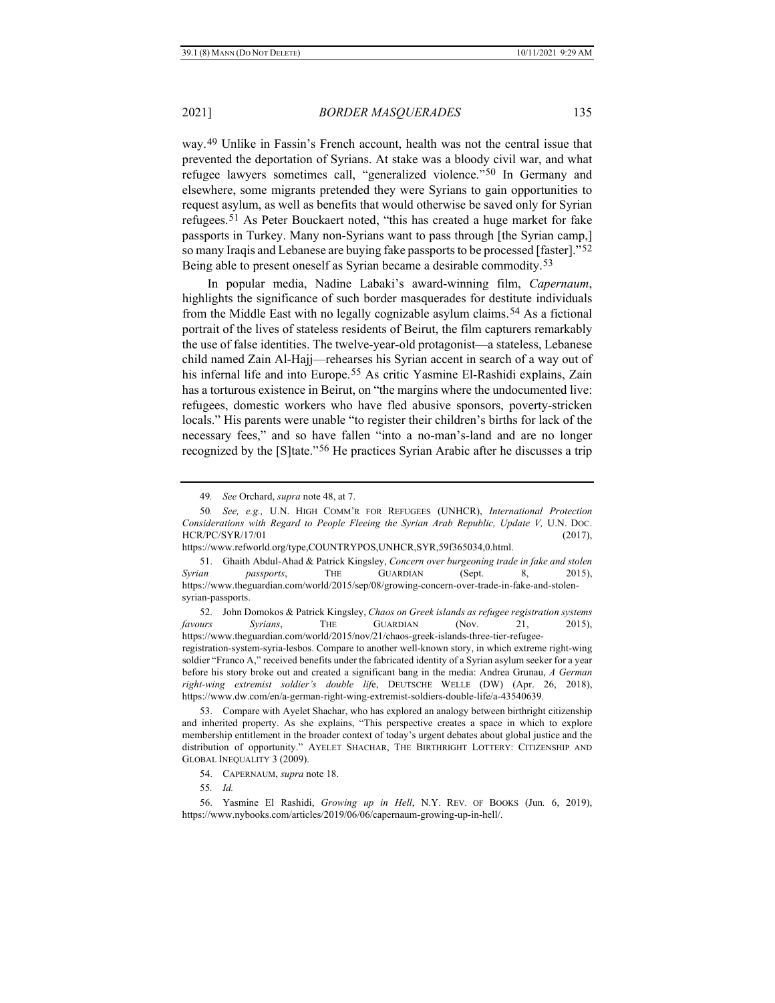way.[49](#page-8-0) Unlike in Fassin's French account, health was not the central issue that prevented the deportation of Syrians. At stake was a bloody civil war, and what refugee lawyers sometimes call, "generalized violence."[50](#page-8-1) In Germany and elsewhere, some migrants pretended they were Syrians to gain opportunities to request asylum, as well as benefits that would otherwise be saved only for Syrian refugees.[51](#page-8-2) As Peter Bouckaert noted, "this has created a huge market for fake passports in Turkey. Many non-Syrians want to pass through [the Syrian camp,] so many Iraqis and Lebanese are buying fake passports to be processed [faster]."[52](#page-8-3) Being able to present oneself as Syrian became a desirable commodity.[53](#page-8-4)

<span id="page-8-8"></span>In popular media, Nadine Labaki's award-winning film, *Capernaum*, highlights the significance of such border masquerades for destitute individuals from the Middle East with no legally cognizable asylum claims.[54](#page-8-5) As a fictional portrait of the lives of stateless residents of Beirut, the film capturers remarkably the use of false identities. The twelve-year-old protagonist—a stateless, Lebanese child named Zain Al-Hajj—rehearses his Syrian accent in search of a way out of his infernal life and into Europe.<sup>[55](#page-8-6)</sup> As critic Yasmine El-Rashidi explains, Zain has a torturous existence in Beirut, on "the margins where the undocumented live: refugees, domestic workers who have fled abusive sponsors, poverty-stricken locals." His parents were unable "to register their children's births for lack of the necessary fees," and so have fallen "into a no-man's-land and are no longer recognized by the [S]tate."[56](#page-8-7) He practices Syrian Arabic after he discusses a trip

<span id="page-8-3"></span>52. John Domokos & Patrick Kingsley, *Chaos on Greek islands as refugee registration systems favours Syrians*, THE GUARDIAN (Nov. 21, 2015), https://www.theguardian.com/world/2015/nov/21/chaos-greek-islands-three-tier-refugeeregistration-system-syria-lesbos. Compare to another well-known story, in which extreme right-wing soldier "Franco A," received benefits under the fabricated identity of a Syrian asylum seeker for a year before his story broke out and created a significant bang in the media: Andrea Grunau, *A German right-wing extremist soldier's double lif*e, DEUTSCHE WELLE (DW) (Apr. 26, 2018), https://www.dw.com/en/a-german-right-wing-extremist-soldiers-double-life/a-43540639.

<span id="page-8-4"></span>53. Compare with Ayelet Shachar, who has explored an analogy between birthright citizenship and inherited property. As she explains, "This perspective creates a space in which to explore membership entitlement in the broader context of today's urgent debates about global justice and the distribution of opportunity." AYELET SHACHAR, THE BIRTHRIGHT LOTTERY: CITIZENSHIP AND GLOBAL INEQUALITY 3 (2009).

<sup>49</sup>*. See* Orchard, *supra* not[e 48,](#page-7-8) at 7.

<span id="page-8-1"></span><span id="page-8-0"></span><sup>50</sup>*. See, e.g.,* U.N. HIGH COMM'R FOR REFUGEES (UNHCR), *International Protection Considerations with Regard to People Fleeing the Syrian Arab Republic, Update V,* U.N. DOC. HCR/PC/SYR/17/01 (2017),

https://www.refworld.org/type,COUNTRYPOS,UNHCR,SYR,59f365034,0.html.

<span id="page-8-2"></span><sup>51.</sup> Ghaith Abdul-Ahad & Patrick Kingsley, *Concern over burgeoning trade in fake and stolen Syrian passports*, THE GUARDIAN (Sept. 8, 2015), https://www.theguardian.com/world/2015/sep/08/growing-concern-over-trade-in-fake-and-stolensyrian-passports.

<sup>54.</sup> CAPERNAUM, *supra* note [18.](#page-4-6)

<sup>55</sup>*. Id.*

<span id="page-8-7"></span><span id="page-8-6"></span><span id="page-8-5"></span><sup>56.</sup> Yasmine El Rashidi, *Growing up in Hell*, N.Y. REV. OF BOOKS (Jun*.* 6, 2019), https://www.nybooks.com/articles/2019/06/06/capernaum-growing-up-in-hell/.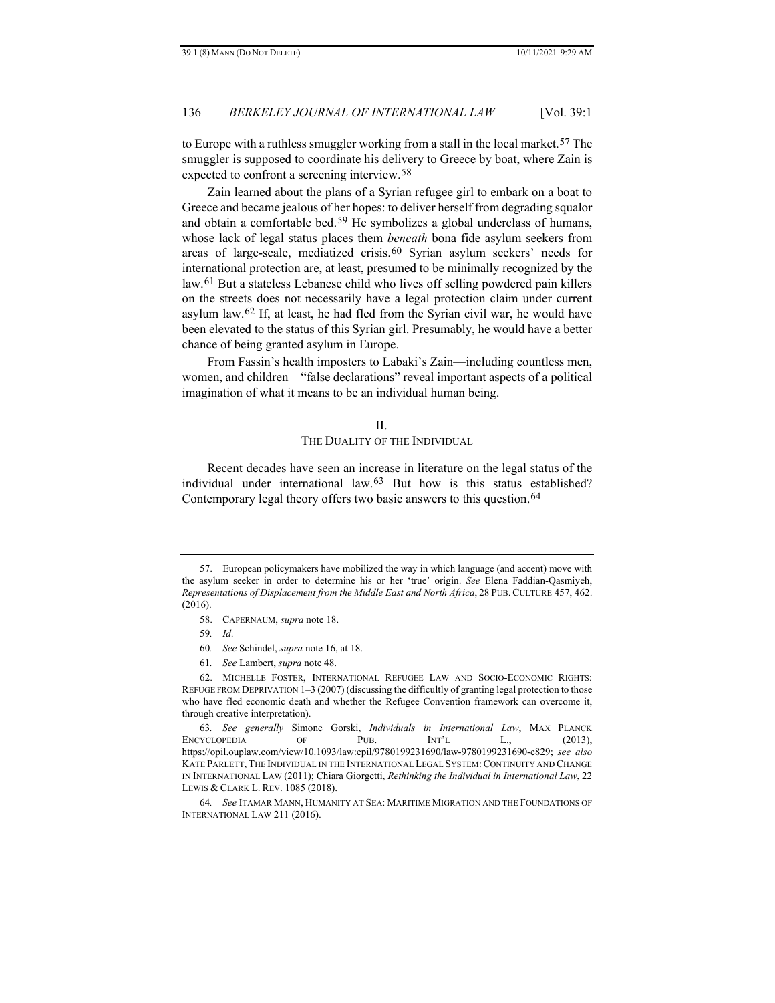to Europe with a ruthless smuggler working from a stall in the local market.<sup>[57](#page-9-0)</sup> The smuggler is supposed to coordinate his delivery to Greece by boat, where Zain is expected to confront a screening interview.[58](#page-9-1)

Zain learned about the plans of a Syrian refugee girl to embark on a boat to Greece and became jealous of her hopes: to deliver herself from degrading squalor and obtain a comfortable bed.[59](#page-9-2) He symbolizes a global underclass of humans, whose lack of legal status places them *beneath* bona fide asylum seekers from areas of large-scale, mediatized crisis.[60](#page-9-3) Syrian asylum seekers' needs for international protection are, at least, presumed to be minimally recognized by the law.[61](#page-9-4) But a stateless Lebanese child who lives off selling powdered pain killers on the streets does not necessarily have a legal protection claim under current asylum law.[62](#page-9-5) If, at least, he had fled from the Syrian civil war, he would have been elevated to the status of this Syrian girl. Presumably, he would have a better chance of being granted asylum in Europe.

From Fassin's health imposters to Labaki's Zain—including countless men, women, and children—"false declarations" reveal important aspects of a political imagination of what it means to be an individual human being.

#### <span id="page-9-9"></span><span id="page-9-8"></span>II.

#### THE DUALITY OF THE INDIVIDUAL

Recent decades have seen an increase in literature on the legal status of the individual under international law.[63](#page-9-6) But how is this status established? Contemporary legal theory offers two basic answers to this question.[64](#page-9-7)

- 60*. See* Schindel, *supra* not[e 16,](#page-3-10) at 18.
- 61*. See* Lambert, *supra* not[e 48.](#page-7-8)

<span id="page-9-1"></span><span id="page-9-0"></span><sup>57.</sup> European policymakers have mobilized the way in which language (and accent) move with the asylum seeker in order to determine his or her 'true' origin. *See* Elena Faddian-Qasmiyeh, *Representations of Displacement from the Middle East and North Africa*, 28 PUB. CULTURE 457, 462. (2016).

<sup>58.</sup> CAPERNAUM, *supra* note [18.](#page-4-6)

<sup>59</sup>*. Id*.

<span id="page-9-5"></span><span id="page-9-4"></span><span id="page-9-3"></span><span id="page-9-2"></span><sup>62.</sup> MICHELLE FOSTER, INTERNATIONAL REFUGEE LAW AND SOCIO-ECONOMIC RIGHTS: REFUGE FROM DEPRIVATION 1–3 (2007) (discussing the difficultly of granting legal protection to those who have fled economic death and whether the Refugee Convention framework can overcome it, through creative interpretation).

<span id="page-9-6"></span><sup>63</sup>*. See generally* Simone Gorski, *Individuals in International Law*, MAX PLANCK ENCYCLOPEDIA OF PUB. INT'L L., (2013), https://opil.ouplaw.com/view/10.1093/law:epil/9780199231690/law-9780199231690-e829; *see also* KATE PARLETT, THE INDIVIDUAL IN THE INTERNATIONAL LEGAL SYSTEM:CONTINUITY AND CHANGE IN INTERNATIONAL LAW (2011); Chiara Giorgetti, *Rethinking the Individual in International Law*, 22 LEWIS & CLARK L. REV. 1085 (2018).

<span id="page-9-7"></span><sup>64</sup>*. See* ITAMAR MANN, HUMANITY AT SEA: MARITIME MIGRATION AND THE FOUNDATIONS OF INTERNATIONAL LAW 211 (2016).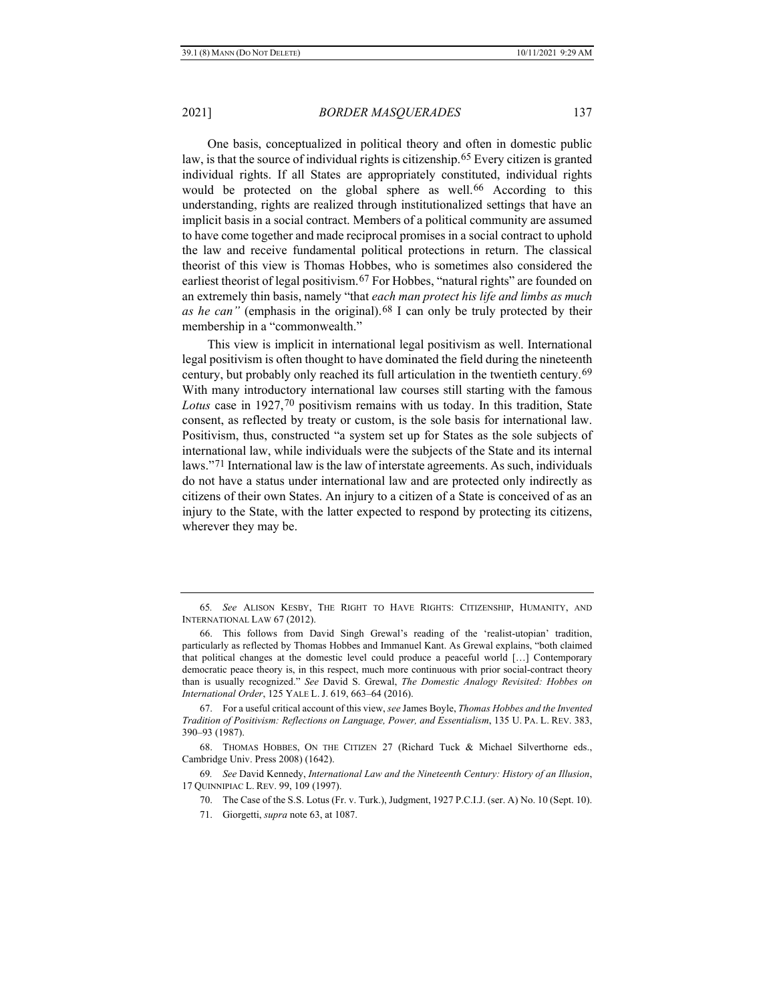<span id="page-10-9"></span><span id="page-10-7"></span>One basis, conceptualized in political theory and often in domestic public law, is that the source of individual rights is citizenship[.65](#page-10-0) Every citizen is granted individual rights. If all States are appropriately constituted, individual rights would be protected on the global sphere as well.<sup>[66](#page-10-1)</sup> According to this understanding, rights are realized through institutionalized settings that have an implicit basis in a social contract. Members of a political community are assumed to have come together and made reciprocal promises in a social contract to uphold the law and receive fundamental political protections in return. The classical theorist of this view is Thomas Hobbes, who is sometimes also considered the earliest theorist of legal positivism.<sup>[67](#page-10-2)</sup> For Hobbes, "natural rights" are founded on an extremely thin basis, namely "that *each man protect his life and limbs as much as he can"* (emphasis in the original).<sup>[68](#page-10-3)</sup> I can only be truly protected by their membership in a "commonwealth."

<span id="page-10-8"></span>This view is implicit in international legal positivism as well. International legal positivism is often thought to have dominated the field during the nineteenth century, but probably only reached its full articulation in the twentieth century.[69](#page-10-4) With many introductory international law courses still starting with the famous Lotus case in 1927,<sup>[70](#page-10-5)</sup> positivism remains with us today. In this tradition, State consent, as reflected by treaty or custom, is the sole basis for international law. Positivism, thus, constructed "a system set up for States as the sole subjects of international law, while individuals were the subjects of the State and its internal laws."[71](#page-10-6) International law is the law of interstate agreements. As such, individuals do not have a status under international law and are protected only indirectly as citizens of their own States. An injury to a citizen of a State is conceived of as an injury to the State, with the latter expected to respond by protecting its citizens, wherever they may be.

<span id="page-10-0"></span><sup>65</sup>*. See* ALISON KESBY, THE RIGHT TO HAVE RIGHTS: CITIZENSHIP, HUMANITY, AND INTERNATIONAL LAW 67 (2012).

<span id="page-10-1"></span><sup>66.</sup> This follows from David Singh Grewal's reading of the 'realist-utopian' tradition, particularly as reflected by Thomas Hobbes and Immanuel Kant. As Grewal explains, "both claimed that political changes at the domestic level could produce a peaceful world […] Contemporary democratic peace theory is, in this respect, much more continuous with prior social-contract theory than is usually recognized." *See* David S. Grewal, *The Domestic Analogy Revisited: Hobbes on International Order*, 125 YALE L. J. 619, 663–64 (2016).

<span id="page-10-2"></span><sup>67.</sup> For a useful critical account of this view, *see* James Boyle, *Thomas Hobbes and the Invented Tradition of Positivism: Reflections on Language, Power, and Essentialism*, 135 U. PA. L. REV. 383, 390–93 (1987).

<span id="page-10-3"></span><sup>68.</sup> THOMAS HOBBES, ON THE CITIZEN 27 (Richard Tuck & Michael Silverthorne eds., Cambridge Univ. Press 2008) (1642).

<span id="page-10-6"></span><span id="page-10-5"></span><span id="page-10-4"></span><sup>69</sup>*. See* David Kennedy, *International Law and the Nineteenth Century: History of an Illusion*, 17 QUINNIPIAC L. REV. 99, 109 (1997).

<sup>70.</sup> The Case of the S.S. Lotus (Fr. v. Turk.), Judgment, 1927 P.C.I.J. (ser. A) No. 10 (Sept. 10).

<sup>71.</sup> Giorgetti, *supra* note [63,](#page-9-8) at 1087.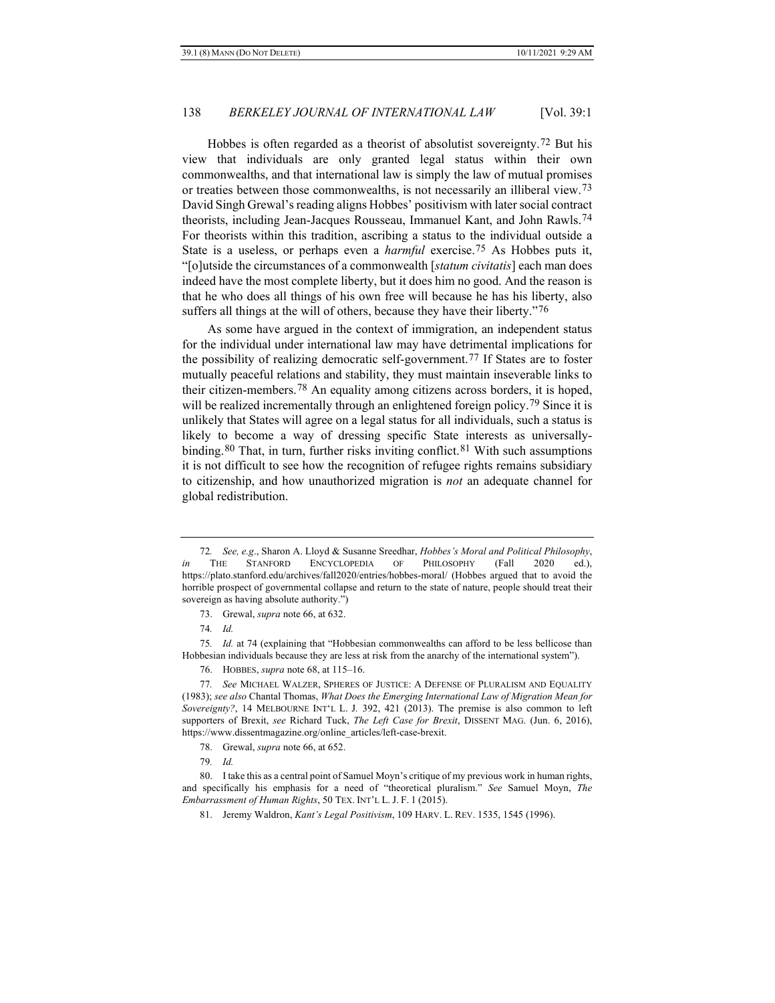Hobbes is often regarded as a theorist of absolutist sovereignty.[72](#page-11-0) But his view that individuals are only granted legal status within their own commonwealths, and that international law is simply the law of mutual promises or treaties between those commonwealths, is not necessarily an illiberal view.[73](#page-11-1) David Singh Grewal's reading aligns Hobbes' positivism with later social contract theorists, including Jean-Jacques Rousseau, Immanuel Kant, and John Rawls.[74](#page-11-2) For theorists within this tradition, ascribing a status to the individual outside a State is a useless, or perhaps even a *harmful* exercise.[75](#page-11-3) As Hobbes puts it, "[o]utside the circumstances of a commonwealth [*statum civitatis*] each man does indeed have the most complete liberty, but it does him no good. And the reason is that he who does all things of his own free will because he has his liberty, also suffers all things at the will of others, because they have their liberty."[76](#page-11-4)

As some have argued in the context of immigration, an independent status for the individual under international law may have detrimental implications for the possibility of realizing democratic self-government[.77](#page-11-5) If States are to foster mutually peaceful relations and stability, they must maintain inseverable links to their citizen-members.[78](#page-11-6) An equality among citizens across borders, it is hoped, will be realized incrementally through an enlightened foreign policy.<sup>79</sup> Since it is unlikely that States will agree on a legal status for all individuals, such a status is likely to become a way of dressing specific State interests as universally-binding.<sup>[80](#page-11-8)</sup> That, in turn, further risks inviting conflict.<sup>[81](#page-11-9)</sup> With such assumptions it is not difficult to see how the recognition of refugee rights remains subsidiary to citizenship, and how unauthorized migration is *not* an adequate channel for global redistribution.

<span id="page-11-3"></span><span id="page-11-2"></span><span id="page-11-1"></span>75*. Id.* at 74 (explaining that "Hobbesian commonwealths can afford to be less bellicose than Hobbesian individuals because they are less at risk from the anarchy of the international system").

79*. Id.*

<span id="page-11-0"></span><sup>72</sup>*. See, e.g*., Sharon A. Lloyd & Susanne Sreedhar, *Hobbes's Moral and Political Philosophy*, *in* THE STANFORD ENCYCLOPEDIA OF PHILOSOPHY (Fall 2020 ed.), https://plato.stanford.edu/archives/fall2020/entries/hobbes-moral/ (Hobbes argued that to avoid the horrible prospect of governmental collapse and return to the state of nature, people should treat their sovereign as having absolute authority.")

<sup>73.</sup> Grewal, *supra* not[e 66,](#page-10-7) at 632.

<sup>74</sup>*. Id.*

<sup>76.</sup> HOBBES, *supra* not[e 68,](#page-10-8) at 115–16.

<span id="page-11-5"></span><span id="page-11-4"></span><sup>77</sup>*. See* MICHAEL WALZER, SPHERES OF JUSTICE: A DEFENSE OF PLURALISM AND EQUALITY (1983); *see also* Chantal Thomas, *What Does the Emerging International Law of Migration Mean for Sovereignty?*, 14 MELBOURNE INT'L L. J*.* 392, 421 (2013). The premise is also common to left supporters of Brexit, *see* Richard Tuck, *The Left Case for Brexit*, DISSENT MAG. (Jun. 6, 2016), https://www.dissentmagazine.org/online\_articles/left-case-brexit.

<sup>78.</sup> Grewal, *supra* note [66,](#page-10-7) at 652.

<span id="page-11-9"></span><span id="page-11-8"></span><span id="page-11-7"></span><span id="page-11-6"></span><sup>80.</sup> I take this as a central point of Samuel Moyn's critique of my previous work in human rights, and specifically his emphasis for a need of "theoretical pluralism." *See* Samuel Moyn, *The Embarrassment of Human Rights*, 50 TEX. INT'L L. J. F. 1 (2015).

<sup>81.</sup> Jeremy Waldron, *Kant's Legal Positivism*, 109 HARV. L. REV. 1535, 1545 (1996).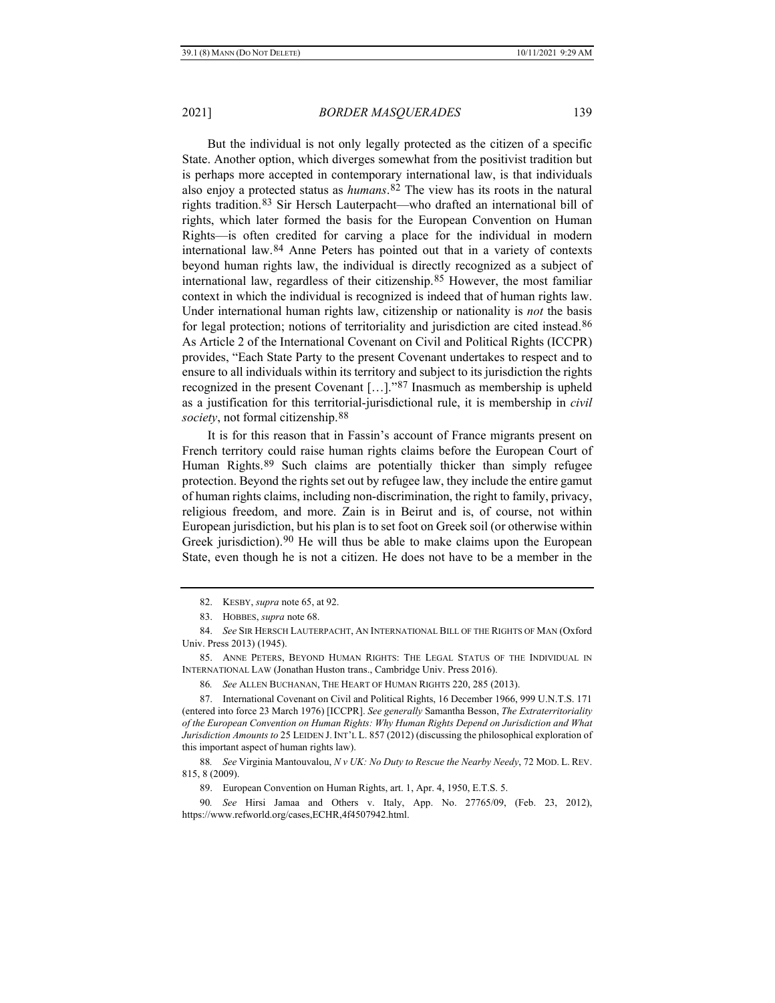<span id="page-12-9"></span>

But the individual is not only legally protected as the citizen of a specific State. Another option, which diverges somewhat from the positivist tradition but is perhaps more accepted in contemporary international law, is that individuals also enjoy a protected status as *humans*.[82](#page-12-0) The view has its roots in the natural rights tradition.[83](#page-12-1) Sir Hersch Lauterpacht—who drafted an international bill of rights, which later formed the basis for the European Convention on Human Rights—is often credited for carving a place for the individual in modern international law.[84](#page-12-2) Anne Peters has pointed out that in a variety of contexts beyond human rights law, the individual is directly recognized as a subject of international law, regardless of their citizenship.[85](#page-12-3) However, the most familiar context in which the individual is recognized is indeed that of human rights law. Under international human rights law, citizenship or nationality is *not* the basis for legal protection; notions of territoriality and jurisdiction are cited instead.[86](#page-12-4) As Article 2 of the International Covenant on Civil and Political Rights (ICCPR) provides, "Each State Party to the present Covenant undertakes to respect and to ensure to all individuals within its territory and subject to its jurisdiction the rights recognized in the present Covenant […]."[87](#page-12-5) Inasmuch as membership is upheld as a justification for this territorial-jurisdictional rule, it is membership in *civil society*, not formal citizenship.[88](#page-12-6)

It is for this reason that in Fassin's account of France migrants present on French territory could raise human rights claims before the European Court of Human Rights.<sup>[89](#page-12-7)</sup> Such claims are potentially thicker than simply refugee protection. Beyond the rights set out by refugee law, they include the entire gamut of human rights claims, including non-discrimination, the right to family, privacy, religious freedom, and more. Zain is in Beirut and is, of course, not within European jurisdiction, but his plan is to set foot on Greek soil (or otherwise within Greek jurisdiction).[90](#page-12-8) He will thus be able to make claims upon the European State, even though he is not a citizen. He does not have to be a member in the

<sup>82.</sup> KESBY, *supra* not[e 65,](#page-10-9) at 92.

<sup>83.</sup> HOBBES, *supra* not[e 68.](#page-10-8)

<span id="page-12-2"></span><span id="page-12-1"></span><span id="page-12-0"></span><sup>84.</sup> *See* SIR HERSCH LAUTERPACHT, AN INTERNATIONAL BILL OF THE RIGHTS OF MAN (Oxford Univ. Press 2013) (1945).

<span id="page-12-3"></span><sup>85.</sup> ANNE PETERS, BEYOND HUMAN RIGHTS: THE LEGAL STATUS OF THE INDIVIDUAL IN INTERNATIONAL LAW (Jonathan Huston trans., Cambridge Univ. Press 2016).

<sup>86</sup>*. See* ALLEN BUCHANAN, THE HEART OF HUMAN RIGHTS 220, 285 (2013).

<span id="page-12-5"></span><span id="page-12-4"></span><sup>87.</sup> International Covenant on Civil and Political Rights, 16 December 1966, 999 U.N.T.S. 171 (entered into force 23 March 1976) [ICCPR]. *See generally* Samantha Besson, *The Extraterritoriality of the European Convention on Human Rights: Why Human Rights Depend on Jurisdiction and What Jurisdiction Amounts to* 25 LEIDEN J. INT'L L. 857 (2012) (discussing the philosophical exploration of this important aspect of human rights law).

<span id="page-12-6"></span><sup>88</sup>*. See* Virginia Mantouvalou, *N v UK: No Duty to Rescue the Nearby Needy*, 72 MOD. L. REV. 815, 8 (2009).

<sup>89.</sup> European Convention on Human Rights, art. 1, Apr. 4, 1950, E.T.S. 5.

<span id="page-12-8"></span><span id="page-12-7"></span><sup>90</sup>*. See* Hirsi Jamaa and Others v. Italy, App. No. 27765/09, (Feb. 23, 2012), https://www.refworld.org/cases,ECHR,4f4507942.html.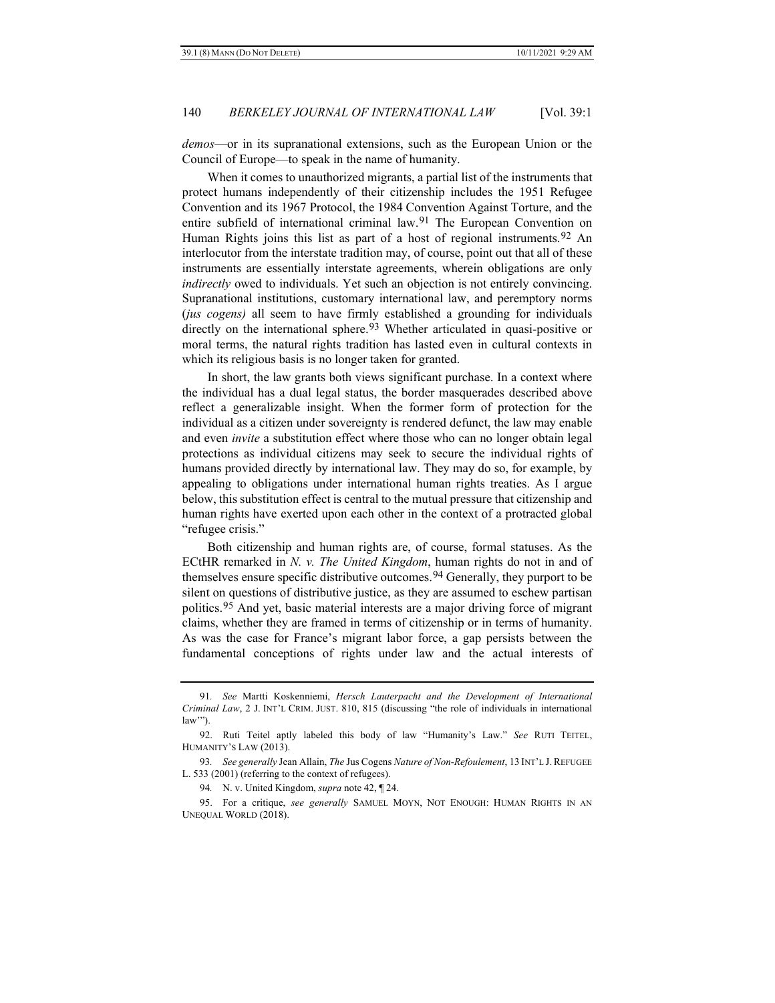*demos*—or in its supranational extensions, such as the European Union or the Council of Europe—to speak in the name of humanity.

When it comes to unauthorized migrants, a partial list of the instruments that protect humans independently of their citizenship includes the 1951 Refugee Convention and its 1967 Protocol, the 1984 Convention Against Torture, and the entire subfield of international criminal law.<sup>[91](#page-13-0)</sup> The European Convention on Human Rights joins this list as part of a host of regional instruments.<sup>[92](#page-13-1)</sup> An interlocutor from the interstate tradition may, of course, point out that all of these instruments are essentially interstate agreements, wherein obligations are only *indirectly* owed to individuals. Yet such an objection is not entirely convincing. Supranational institutions, customary international law, and peremptory norms (*jus cogens)* all seem to have firmly established a grounding for individuals directly on the international sphere.<sup>[93](#page-13-2)</sup> Whether articulated in quasi-positive or moral terms, the natural rights tradition has lasted even in cultural contexts in which its religious basis is no longer taken for granted.

<span id="page-13-5"></span>In short, the law grants both views significant purchase. In a context where the individual has a dual legal status, the border masquerades described above reflect a generalizable insight. When the former form of protection for the individual as a citizen under sovereignty is rendered defunct, the law may enable and even *invite* a substitution effect where those who can no longer obtain legal protections as individual citizens may seek to secure the individual rights of humans provided directly by international law. They may do so, for example, by appealing to obligations under international human rights treaties. As I argue below, this substitution effect is central to the mutual pressure that citizenship and human rights have exerted upon each other in the context of a protracted global "refugee crisis."

Both citizenship and human rights are, of course, formal statuses. As the ECtHR remarked in *N. v. The United Kingdom*, human rights do not in and of themselves ensure specific distributive outcomes.<sup>[94](#page-13-3)</sup> Generally, they purport to be silent on questions of distributive justice, as they are assumed to eschew partisan politics.[95](#page-13-4) And yet, basic material interests are a major driving force of migrant claims, whether they are framed in terms of citizenship or in terms of humanity. As was the case for France's migrant labor force, a gap persists between the fundamental conceptions of rights under law and the actual interests of

<span id="page-13-0"></span><sup>91</sup>*. See* Martti Koskenniemi, *Hersch Lauterpacht and the Development of International Criminal Law*, 2 J. INT'L CRIM. JUST. 810, 815 (discussing "the role of individuals in international law"").

<span id="page-13-1"></span><sup>92.</sup> Ruti Teitel aptly labeled this body of law "Humanity's Law." *See* RUTI TEITEL, HUMANITY'S LAW (2013).

<span id="page-13-2"></span><sup>93</sup>*. See generally* Jean Allain, *The* Jus Cogens *Nature of Non-Refoulement*, 13 INT'L J.REFUGEE L. 533 (2001) (referring to the context of refugees).

<sup>94</sup>*.* N. v. United Kingdom, *supra* note [42,](#page-7-9) ¶ 24.

<span id="page-13-4"></span><span id="page-13-3"></span><sup>95.</sup> For a critique, *see generally* SAMUEL MOYN, NOT ENOUGH: HUMAN RIGHTS IN AN UNEQUAL WORLD (2018).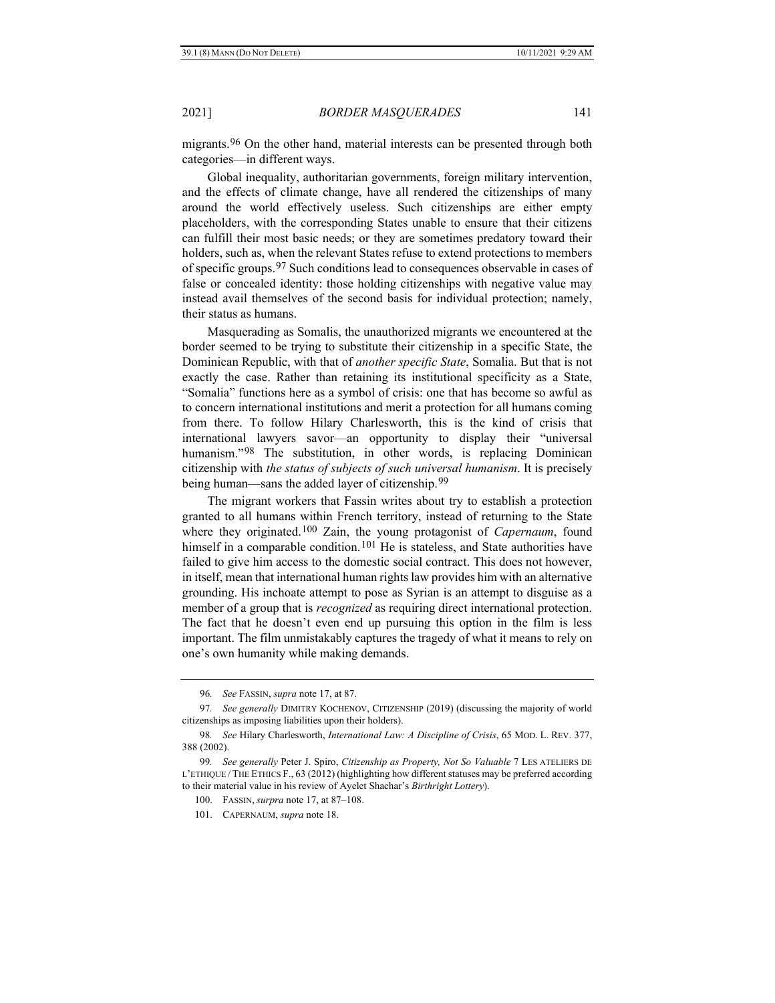<span id="page-14-8"></span>migrants.[96](#page-14-0) On the other hand, material interests can be presented through both categories—in different ways.

Global inequality, authoritarian governments, foreign military intervention, and the effects of climate change, have all rendered the citizenships of many around the world effectively useless. Such citizenships are either empty placeholders, with the corresponding States unable to ensure that their citizens can fulfill their most basic needs; or they are sometimes predatory toward their holders, such as, when the relevant States refuse to extend protections to members of specific groups.[97](#page-14-1) Such conditions lead to consequences observable in cases of false or concealed identity: those holding citizenships with negative value may instead avail themselves of the second basis for individual protection; namely, their status as humans.

<span id="page-14-6"></span>Masquerading as Somalis, the unauthorized migrants we encountered at the border seemed to be trying to substitute their citizenship in a specific State, the Dominican Republic, with that of *another specific State*, Somalia. But that is not exactly the case. Rather than retaining its institutional specificity as a State, "Somalia" functions here as a symbol of crisis: one that has become so awful as to concern international institutions and merit a protection for all humans coming from there. To follow Hilary Charlesworth, this is the kind of crisis that international lawyers savor—an opportunity to display their "universal humanism."[98](#page-14-2) The substitution, in other words, is replacing Dominican citizenship with *the status of subjects of such universal humanism*. It is precisely being human—sans the added layer of citizenship.<sup>[99](#page-14-3)</sup>

<span id="page-14-7"></span>The migrant workers that Fassin writes about try to establish a protection granted to all humans within French territory, instead of returning to the State where they originated.[100](#page-14-4) Zain, the young protagonist of *Capernaum*, found himself in a comparable condition.<sup>[101](#page-14-5)</sup> He is stateless, and State authorities have failed to give him access to the domestic social contract. This does not however, in itself, mean that international human rights law provides him with an alternative grounding. His inchoate attempt to pose as Syrian is an attempt to disguise as a member of a group that is *recognized* as requiring direct international protection. The fact that he doesn't even end up pursuing this option in the film is less important. The film unmistakably captures the tragedy of what it means to rely on one's own humanity while making demands.

<sup>96</sup>*. See* FASSIN, *supra* not[e 17,](#page-3-9) at 87.

<span id="page-14-1"></span><span id="page-14-0"></span><sup>97</sup>*. See generally* DIMITRY KOCHENOV, CITIZENSHIP (2019) (discussing the majority of world citizenships as imposing liabilities upon their holders).

<span id="page-14-2"></span><sup>98</sup>*. See* Hilary Charlesworth, *International Law: A Discipline of Crisis*, 65 MOD. L. REV. 377, 388 (2002).

<span id="page-14-5"></span><span id="page-14-4"></span><span id="page-14-3"></span><sup>99</sup>*. See generally* Peter J. Spiro, *Citizenship as Property, Not So Valuable* 7 LES ATELIERS DE L'ETHIQUE / THE ETHICS F., 63 (2012) (highlighting how different statuses may be preferred according to their material value in his review of Ayelet Shachar's *Birthright Lottery*).

<sup>100.</sup> FASSIN, *surpra* note [17,](#page-3-9) at 87–108.

<sup>101.</sup> CAPERNAUM, *supra* note [18.](#page-4-6)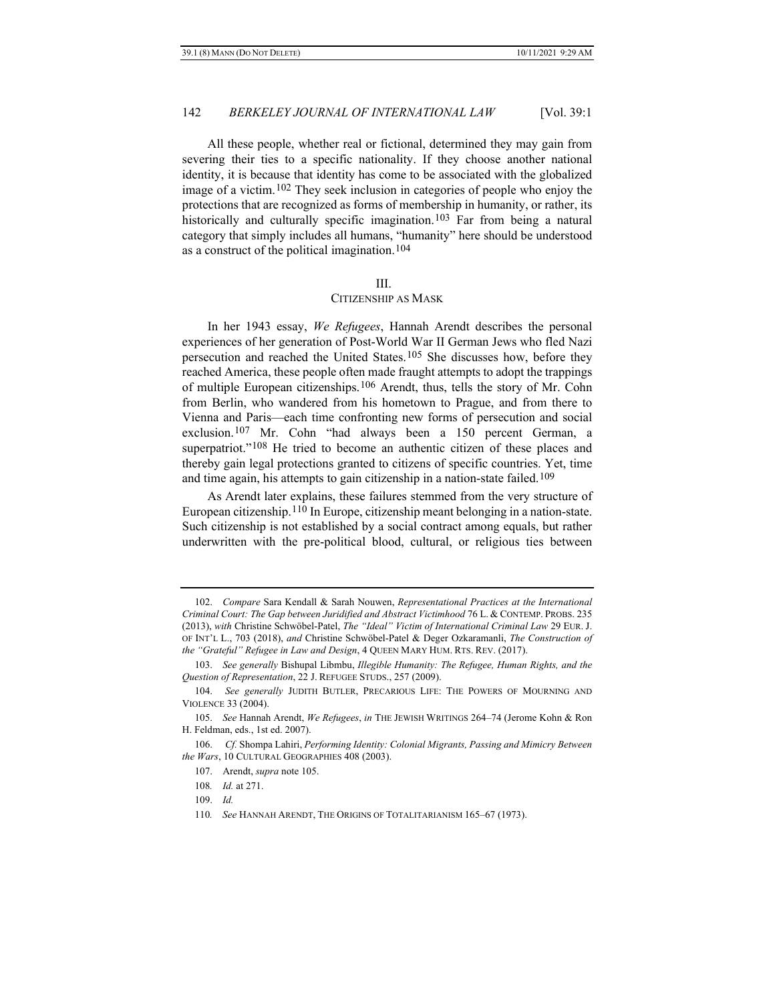All these people, whether real or fictional, determined they may gain from severing their ties to a specific nationality. If they choose another national identity, it is because that identity has come to be associated with the globalized image of a victim.[102](#page-15-1) They seek inclusion in categories of people who enjoy the protections that are recognized as forms of membership in humanity, or rather, its historically and culturally specific imagination.<sup>[103](#page-15-2)</sup> Far from being a natural category that simply includes all humans, "humanity" here should be understood as a construct of the political imagination.[104](#page-15-3)

#### <span id="page-15-0"></span>III.

#### CITIZENSHIP AS MASK

In her 1943 essay, *We Refugees*, Hannah Arendt describes the personal experiences of her generation of Post-World War II German Jews who fled Nazi persecution and reached the United States.[105](#page-15-4) She discusses how, before they reached America, these people often made fraught attempts to adopt the trappings of multiple European citizenships.[106](#page-15-5) Arendt, thus, tells the story of Mr. Cohn from Berlin, who wandered from his hometown to Prague, and from there to Vienna and Paris—each time confronting new forms of persecution and social exclusion.[107](#page-15-6) Mr. Cohn "had always been a 150 percent German, a superpatriot."<sup>[108](#page-15-7)</sup> He tried to become an authentic citizen of these places and thereby gain legal protections granted to citizens of specific countries. Yet, time and time again, his attempts to gain citizenship in a nation-state failed.<sup>[109](#page-15-8)</sup>

As Arendt later explains, these failures stemmed from the very structure of European citizenship.[110](#page-15-9) In Europe, citizenship meant belonging in a nation-state. Such citizenship is not established by a social contract among equals, but rather underwritten with the pre-political blood, cultural, or religious ties between

<span id="page-15-1"></span><sup>102.</sup> *Compare* Sara Kendall & Sarah Nouwen, *Representational Practices at the International Criminal Court: The Gap between Juridified and Abstract Victimhood* 76 L. & CONTEMP. PROBS. 235 (2013), *with* Christine Schwöbel-Patel, *The "Ideal" Victim of International Criminal Law* 29 EUR. J. OF INT'L L., 703 (2018), *and* Christine Schwöbel-Patel & Deger Ozkaramanli, *The Construction of the "Grateful" Refugee in Law and Design*, 4 QUEEN MARY HUM. RTS. REV. (2017).

<span id="page-15-2"></span><sup>103.</sup> *See generally* Bishupal Libmbu, *Illegible Humanity: The Refugee, Human Rights, and the Question of Representation*, 22 J. REFUGEE STUDS., 257 (2009).

<span id="page-15-3"></span><sup>104.</sup> *See generally* JUDITH BUTLER, PRECARIOUS LIFE: THE POWERS OF MOURNING AND VIOLENCE 33 (2004).

<span id="page-15-4"></span><sup>105.</sup> *See* Hannah Arendt, *We Refugees*, *in* THE JEWISH WRITINGS 264–74 (Jerome Kohn & Ron H. Feldman, eds., 1st ed. 2007).

<span id="page-15-9"></span><span id="page-15-8"></span><span id="page-15-7"></span><span id="page-15-6"></span><span id="page-15-5"></span><sup>106.</sup> *Cf.* Shompa Lahiri, *Performing Identity: Colonial Migrants, Passing and Mimicry Between the Wars*, 10 CULTURAL GEOGRAPHIES 408 (2003).

<sup>107.</sup> Arendt, *supra* not[e 105.](#page-15-0)

<sup>108</sup>*. Id.* at 271.

<sup>109.</sup> *Id.*

<sup>110</sup>*. See* HANNAH ARENDT, THE ORIGINS OF TOTALITARIANISM 165–67 (1973).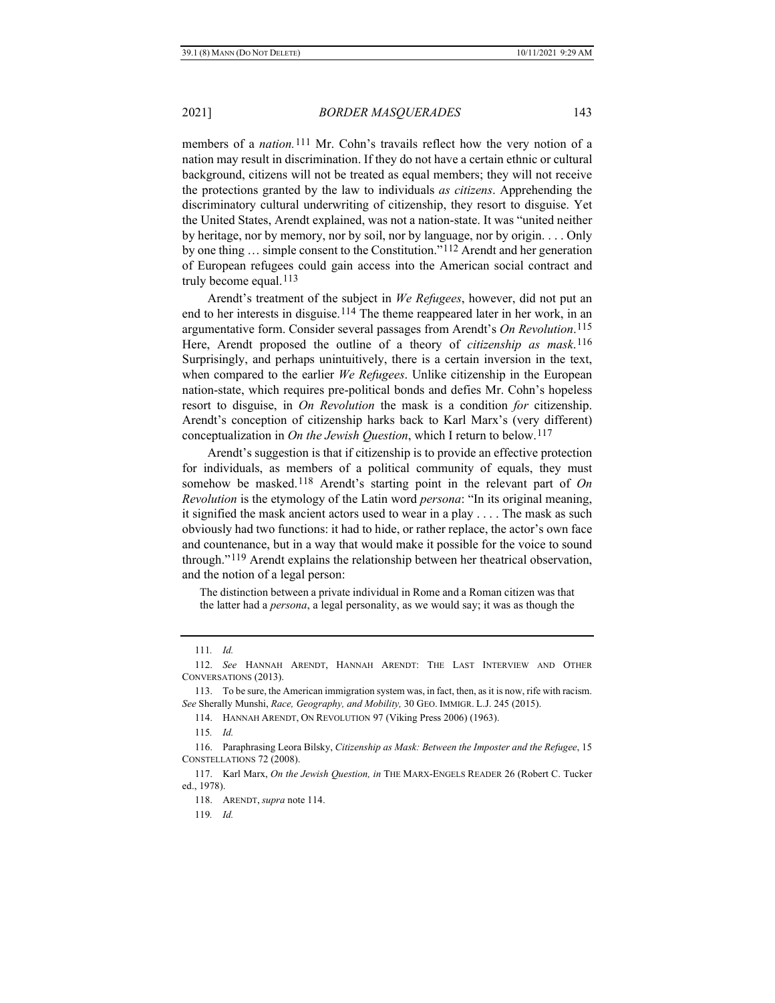members of a *nation.*[111](#page-16-1) Mr. Cohn's travails reflect how the very notion of a nation may result in discrimination. If they do not have a certain ethnic or cultural background, citizens will not be treated as equal members; they will not receive the protections granted by the law to individuals *as citizens*. Apprehending the discriminatory cultural underwriting of citizenship, they resort to disguise. Yet the United States, Arendt explained, was not a nation-state. It was "united neither by heritage, nor by memory, nor by soil, nor by language, nor by origin. . . . Only by one thing … simple consent to the Constitution."[112](#page-16-2) Arendt and her generation of European refugees could gain access into the American social contract and truly become equal.<sup>[113](#page-16-3)</sup>

<span id="page-16-12"></span><span id="page-16-11"></span><span id="page-16-0"></span>Arendt's treatment of the subject in *We Refugees*, however, did not put an end to her interests in disguise.<sup>[114](#page-16-4)</sup> The theme reappeared later in her work, in an argumentative form. Consider several passages from Arendt's *On Revolution*.[115](#page-16-5) Here, Arendt proposed the outline of a theory of *citizenship as mask*.[116](#page-16-6) Surprisingly, and perhaps unintuitively, there is a certain inversion in the text, when compared to the earlier *We Refugees*. Unlike citizenship in the European nation-state, which requires pre-political bonds and defies Mr. Cohn's hopeless resort to disguise, in *On Revolution* the mask is a condition *for* citizenship. Arendt's conception of citizenship harks back to Karl Marx's (very different) conceptualization in *On the Jewish Question*, which I return to below.[117](#page-16-7)

<span id="page-16-10"></span>Arendt's suggestion is that if citizenship is to provide an effective protection for individuals, as members of a political community of equals, they must somehow be masked.[118](#page-16-8) Arendt's starting point in the relevant part of *On Revolution* is the etymology of the Latin word *persona*: "In its original meaning, it signified the mask ancient actors used to wear in a play . . . . The mask as such obviously had two functions: it had to hide, or rather replace, the actor's own face and countenance, but in a way that would make it possible for the voice to sound through."[119](#page-16-9) Arendt explains the relationship between her theatrical observation, and the notion of a legal person:

The distinction between a private individual in Rome and a Roman citizen was that the latter had a *persona*, a legal personality, as we would say; it was as though the

<sup>111</sup>*. Id.*

<span id="page-16-2"></span><span id="page-16-1"></span><sup>112.</sup> *See* HANNAH ARENDT, HANNAH ARENDT: THE LAST INTERVIEW AND OTHER CONVERSATIONS (2013).

<span id="page-16-4"></span><span id="page-16-3"></span><sup>113.</sup> To be sure, the American immigration system was, in fact, then, as it is now, rife with racism. *See* Sherally Munshi, *Race, Geography, and Mobility,* 30 GEO. IMMIGR. L.J. 245 (2015).

<sup>114.</sup> HANNAH ARENDT, ON REVOLUTION 97 (Viking Press 2006) (1963).

<sup>115</sup>*. Id.*

<span id="page-16-6"></span><span id="page-16-5"></span><sup>116.</sup> Paraphrasing Leora Bilsky, *Citizenship as Mask: Between the Imposter and the Refugee*, 15 CONSTELLATIONS 72 (2008).

<span id="page-16-9"></span><span id="page-16-8"></span><span id="page-16-7"></span><sup>117.</sup> Karl Marx, *On the Jewish Question, in* THE MARX-ENGELS READER 26 (Robert C. Tucker ed., 1978).

<sup>118.</sup> ARENDT, *supra* note [114.](#page-16-0)

<sup>119</sup>*. Id.*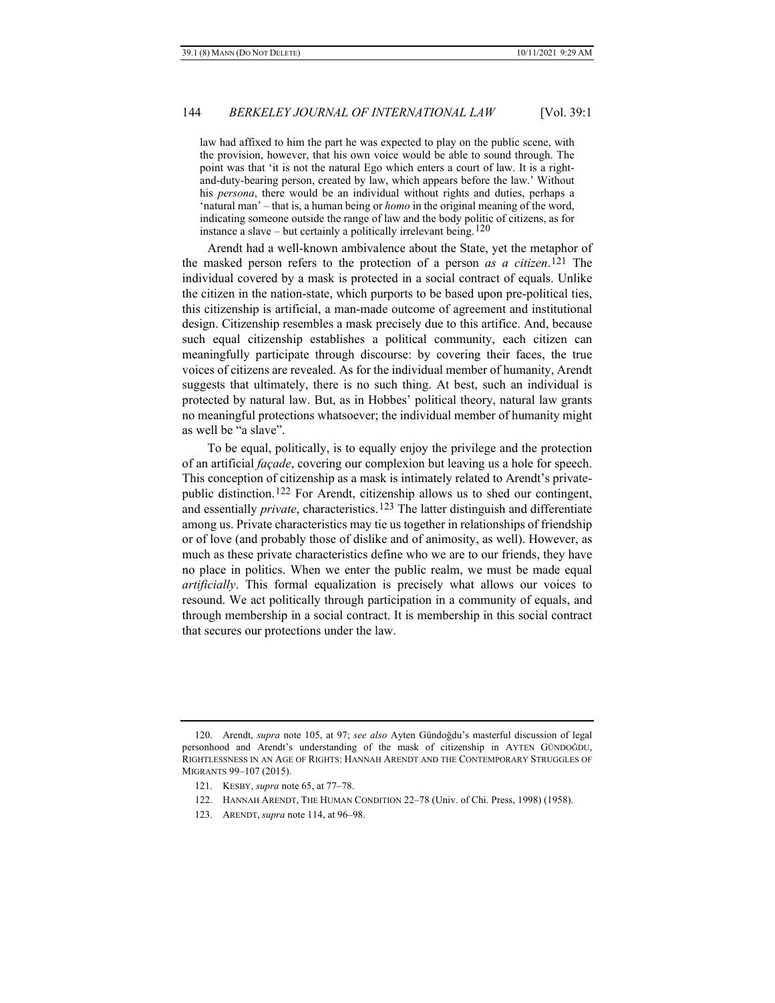<span id="page-17-5"></span>law had affixed to him the part he was expected to play on the public scene, with the provision, however, that his own voice would be able to sound through. The point was that 'it is not the natural Ego which enters a court of law. It is a rightand-duty-bearing person, created by law, which appears before the law.' Without his *persona*, there would be an individual without rights and duties, perhaps a 'natural man' – that is, a human being or *homo* in the original meaning of the word, indicating someone outside the range of law and the body politic of citizens, as for instance a slave – but certainly a politically irrelevant being.<sup>[120](#page-17-0)</sup>

<span id="page-17-6"></span>Arendt had a well-known ambivalence about the State, yet the metaphor of the masked person refers to the protection of a person *as a citizen*.[121](#page-17-1) The individual covered by a mask is protected in a social contract of equals. Unlike the citizen in the nation-state, which purports to be based upon pre-political ties, this citizenship is artificial, a man-made outcome of agreement and institutional design. Citizenship resembles a mask precisely due to this artifice. And, because such equal citizenship establishes a political community, each citizen can meaningfully participate through discourse: by covering their faces, the true voices of citizens are revealed. As for the individual member of humanity, Arendt suggests that ultimately, there is no such thing. At best, such an individual is protected by natural law. But, as in Hobbes' political theory, natural law grants no meaningful protections whatsoever; the individual member of humanity might as well be "a slave".

<span id="page-17-7"></span><span id="page-17-4"></span>To be equal, politically, is to equally enjoy the privilege and the protection of an artificial *façade*, covering our complexion but leaving us a hole for speech. This conception of citizenship as a mask is intimately related to Arendt's privatepublic distinction.[122](#page-17-2) For Arendt, citizenship allows us to shed our contingent, and essentially *private*, characteristics.[123](#page-17-3) The latter distinguish and differentiate among us. Private characteristics may tie us together in relationships of friendship or of love (and probably those of dislike and of animosity, as well). However, as much as these private characteristics define who we are to our friends, they have no place in politics. When we enter the public realm, we must be made equal *artificially*. This formal equalization is precisely what allows our voices to resound. We act politically through participation in a community of equals, and through membership in a social contract. It is membership in this social contract that secures our protections under the law.

- 122. HANNAH ARENDT, THE HUMAN CONDITION 22–78 (Univ. of Chi. Press, 1998) (1958).
- <span id="page-17-3"></span>123. ARENDT, *supra* note [114,](#page-16-0) at 96–98.

<span id="page-17-2"></span><span id="page-17-1"></span><span id="page-17-0"></span><sup>120.</sup> Arendt, *supra* note [105,](#page-15-0) at 97; *see also* Ayten Gündoğdu's masterful discussion of legal personhood and Arendt's understanding of the mask of citizenship in AYTEN GÜNDOĞDU, RIGHTLESSNESS IN AN AGE OF RIGHTS: HANNAH ARENDT AND THE CONTEMPORARY STRUGGLES OF MIGRANTS 99–107 (2015).

<sup>121.</sup> KESBY, *supra* not[e 65,](#page-10-9) at 77–78.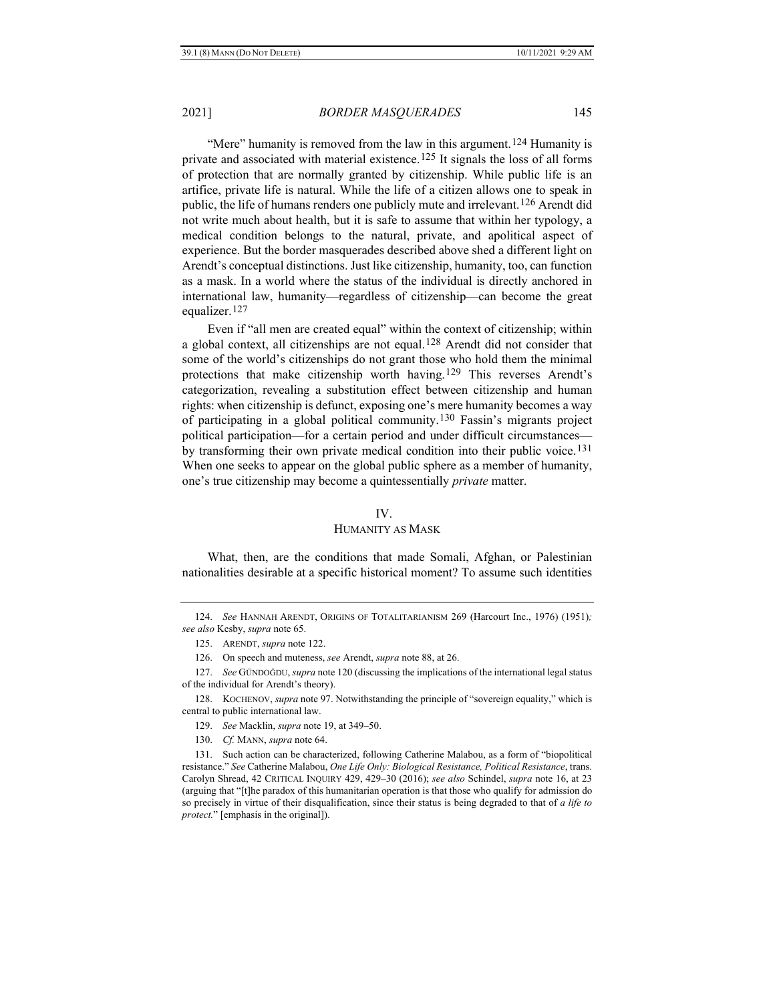"Mere" humanity is removed from the law in this argument.[124](#page-18-0) Humanity is private and associated with material existence.[125](#page-18-1) It signals the loss of all forms of protection that are normally granted by citizenship. While public life is an artifice, private life is natural. While the life of a citizen allows one to speak in public, the life of humans renders one publicly mute and irrelevant.[126](#page-18-2) Arendt did not write much about health, but it is safe to assume that within her typology, a medical condition belongs to the natural, private, and apolitical aspect of experience. But the border masquerades described above shed a different light on Arendt's conceptual distinctions. Just like citizenship, humanity, too, can function as a mask. In a world where the status of the individual is directly anchored in international law, humanity—regardless of citizenship—can become the great equalizer.[127](#page-18-3)

Even if "all men are created equal" within the context of citizenship; within a global context, all citizenships are not equal.<sup>[128](#page-18-4)</sup> Arendt did not consider that some of the world's citizenships do not grant those who hold them the minimal protections that make citizenship worth having.[129](#page-18-5) This reverses Arendt's categorization, revealing a substitution effect between citizenship and human rights: when citizenship is defunct, exposing one's mere humanity becomes a way of participating in a global political community.[130](#page-18-6) Fassin's migrants project political participation—for a certain period and under difficult circumstances by transforming their own private medical condition into their public voice.[131](#page-18-7) When one seeks to appear on the global public sphere as a member of humanity, one's true citizenship may become a quintessentially *private* matter.

#### IV.

### HUMANITY AS MASK

What, then, are the conditions that made Somali, Afghan, or Palestinian nationalities desirable at a specific historical moment? To assume such identities

<span id="page-18-1"></span><span id="page-18-0"></span><sup>124.</sup> *See* HANNAH ARENDT, ORIGINS OF TOTALITARIANISM 269 (Harcourt Inc., 1976) (1951)*; see also* Kesby, *supra* not[e 65.](#page-10-9)

<sup>125.</sup> ARENDT, *supra* not[e 122.](#page-17-4)

<sup>126.</sup> On speech and muteness, *see* Arendt, *supra* note 88, at 26.

<span id="page-18-3"></span><span id="page-18-2"></span><sup>127.</sup> *See* GÜNDOĞDU, *supra* not[e 120](#page-17-5) (discussing the implications of the international legal status of the individual for Arendt's theory).

<span id="page-18-4"></span><sup>128.</sup> KOCHENOV, *supra* not[e 97.](#page-14-6) Notwithstanding the principle of "sovereign equality," which is central to public international law.

<sup>129.</sup> *See* Macklin, *supra* note [19,](#page-4-7) at 349–50.

<sup>130.</sup> *Cf.* MANN, *supra* note [64.](#page-9-9)

<span id="page-18-7"></span><span id="page-18-6"></span><span id="page-18-5"></span><sup>131.</sup> Such action can be characterized, following Catherine Malabou, as a form of "biopolitical resistance." *See* Catherine Malabou, *One Life Only: Biological Resistance, Political Resistance*, trans. Carolyn Shread, 42 CRITICAL INQUIRY 429, 429–30 (2016); *see also* Schindel, *supra* note [16,](#page-3-10) at 23 (arguing that "[t]he paradox of this humanitarian operation is that those who qualify for admission do so precisely in virtue of their disqualification, since their status is being degraded to that of *a life to protect.*" [emphasis in the original]).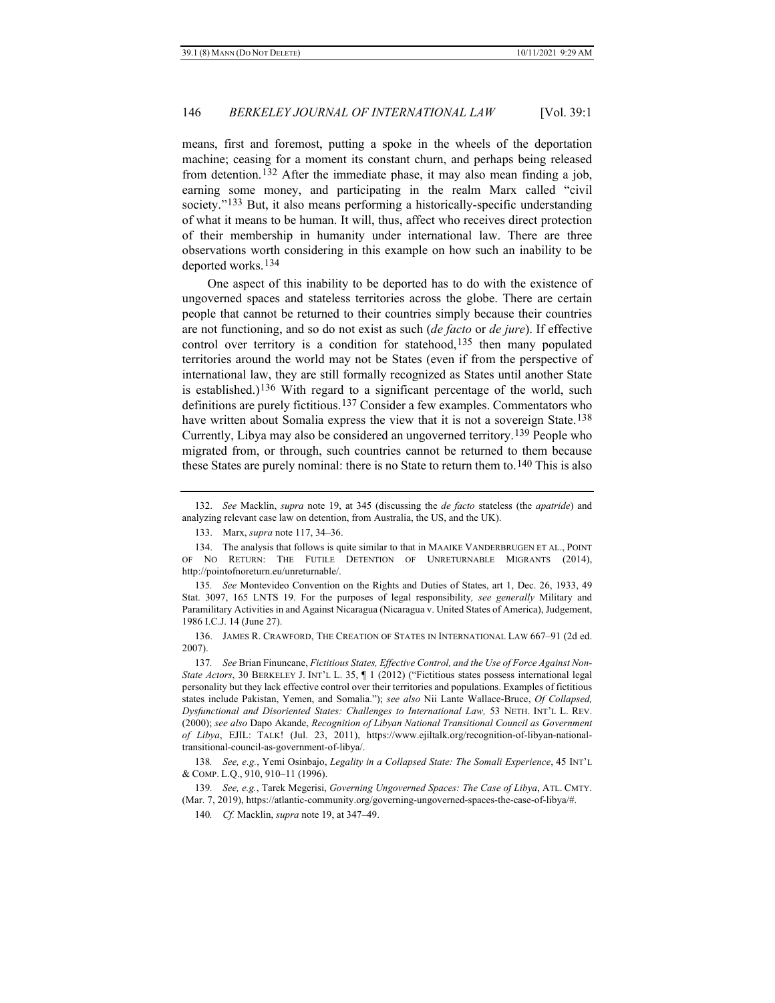means, first and foremost, putting a spoke in the wheels of the deportation machine; ceasing for a moment its constant churn, and perhaps being released from detention.[132](#page-19-0) After the immediate phase, it may also mean finding a job, earning some money, and participating in the realm Marx called "civil society."[133](#page-19-1) But, it also means performing a historically-specific understanding of what it means to be human. It will, thus, affect who receives direct protection of their membership in humanity under international law. There are three observations worth considering in this example on how such an inability to be deported works.[134](#page-19-2)

One aspect of this inability to be deported has to do with the existence of ungoverned spaces and stateless territories across the globe. There are certain people that cannot be returned to their countries simply because their countries are not functioning, and so do not exist as such (*de facto* or *de jure*). If effective control over territory is a condition for statehood,<sup>[135](#page-19-3)</sup> then many populated territories around the world may not be States (even if from the perspective of international law, they are still formally recognized as States until another State is established.)<sup>[136](#page-19-4)</sup> With regard to a significant percentage of the world, such definitions are purely fictitious.[137](#page-19-5) Consider a few examples. Commentators who have written about Somalia express the view that it is not a sovereign State.<sup>[138](#page-19-6)</sup> Currently, Libya may also be considered an ungoverned territory.[139](#page-19-7) People who migrated from, or through, such countries cannot be returned to them because these States are purely nominal: there is no State to return them to.<sup>[140](#page-19-8)</sup> This is also

<span id="page-19-4"></span>136. JAMES R. CRAWFORD, THE CREATION OF STATES IN INTERNATIONAL LAW 667–91 (2d ed. 2007).

<span id="page-19-0"></span><sup>132.</sup> *See* Macklin, *supra* note [19,](#page-4-7) at 345 (discussing the *de facto* stateless (the *apatride*) and analyzing relevant case law on detention, from Australia, the US, and the UK).

<sup>133.</sup> Marx, *supra* note [117,](#page-16-10) 34–36.

<span id="page-19-2"></span><span id="page-19-1"></span><sup>134.</sup> The analysis that follows is quite similar to that in MAAIKE VANDERBRUGEN ET AL., POINT OF NO RETURN: THE FUTILE DETENTION OF UNRETURNABLE MIGRANTS (2014), http://pointofnoreturn.eu/unreturnable/.

<span id="page-19-3"></span><sup>135</sup>*. See* Montevideo Convention on the Rights and Duties of States, art 1, Dec. 26, 1933, 49 Stat. 3097, 165 LNTS 19. For the purposes of legal responsibility*, see generally* Military and Paramilitary Activities in and Against Nicaragua (Nicaragua v. United States of America), Judgement, 1986 I.C.J. 14 (June 27).

<span id="page-19-5"></span><sup>137</sup>*. See* Brian Finuncane, *Fictitious States, Effective Control, and the Use of Force Against Non-State Actors*, 30 BERKELEY J. INT'L L. 35, ¶ 1 (2012) ("Fictitious states possess international legal personality but they lack effective control over their territories and populations. Examples of fictitious states include Pakistan, Yemen, and Somalia."); *see also* Nii Lante Wallace-Bruce, *Of Collapsed, Dysfunctional and Disoriented States: Challenges to International Law,* 53 NETH. INT'L L. REV. (2000); *see also* Dapo Akande, *Recognition of Libyan National Transitional Council as Government of Libya*, EJIL: TALK! (Jul. 23, 2011), https://www.ejiltalk.org/recognition-of-libyan-nationaltransitional-council-as-government-of-libya/.

<span id="page-19-6"></span><sup>138</sup>*. See, e.g.*, Yemi Osinbajo, *Legality in a Collapsed State: The Somali Experience*, 45 INT'L & COMP. L.Q., 910, 910–11 (1996).

<span id="page-19-8"></span><span id="page-19-7"></span><sup>139</sup>*. See, e.g.*, Tarek Megerisi, *Governing Ungoverned Spaces: The Case of Libya*, ATL. CMTY. (Mar. 7, 2019), https://atlantic-community.org/governing-ungoverned-spaces-the-case-of-libya/#.

<sup>140</sup>*. Cf.* Macklin, *supra* not[e 19,](#page-4-7) at 347–49.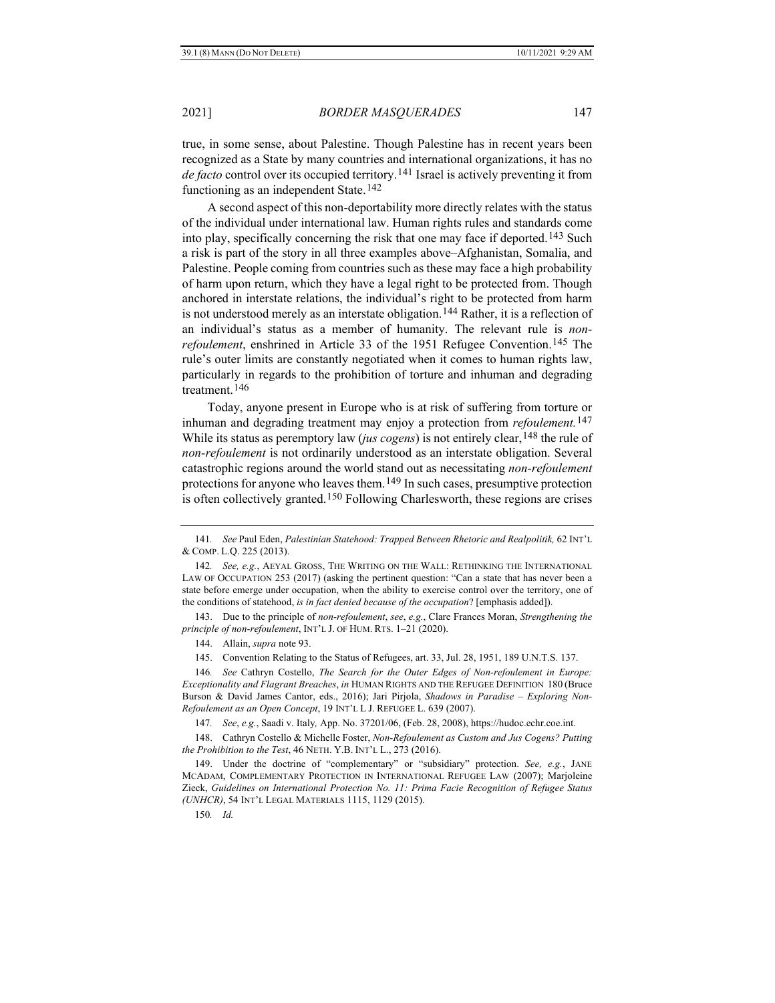true, in some sense, about Palestine. Though Palestine has in recent years been recognized as a State by many countries and international organizations, it has no *de facto* control over its occupied territory.[141](#page-20-0) Israel is actively preventing it from functioning as an independent State.[142](#page-20-1)

A second aspect of this non-deportability more directly relates with the status of the individual under international law. Human rights rules and standards come into play, specifically concerning the risk that one may face if deported.[143](#page-20-2) Such a risk is part of the story in all three examples above–Afghanistan, Somalia, and Palestine. People coming from countries such as these may face a high probability of harm upon return, which they have a legal right to be protected from. Though anchored in interstate relations, the individual's right to be protected from harm is not understood merely as an interstate obligation.<sup>[144](#page-20-3)</sup> Rather, it is a reflection of an individual's status as a member of humanity. The relevant rule is *nonrefoulement*, enshrined in Article 33 of the 1951 Refugee Convention.<sup>[145](#page-20-4)</sup> The rule's outer limits are constantly negotiated when it comes to human rights law, particularly in regards to the prohibition of torture and inhuman and degrading treatment.[146](#page-20-5)

Today, anyone present in Europe who is at risk of suffering from torture or inhuman and degrading treatment may enjoy a protection from *refoulement.*[147](#page-20-6) While its status as peremptory law (*jus cogens*) is not entirely clear, <sup>[148](#page-20-7)</sup> the rule of *non-refoulement* is not ordinarily understood as an interstate obligation. Several catastrophic regions around the world stand out as necessitating *non-refoulement* protections for anyone who leaves them.[149](#page-20-8) In such cases, presumptive protection is often collectively granted.<sup>[150](#page-20-9)</sup> Following Charlesworth, these regions are crises

144. Allain, *supra* note [93.](#page-13-5)

145. Convention Relating to the Status of Refugees, art. 33, Jul. 28, 1951, 189 U.N.T.S. 137.

<span id="page-20-5"></span><span id="page-20-4"></span>146*. See* Cathryn Costello, *The Search for the Outer Edges of Non-refoulement in Europe: Exceptionality and Flagrant Breaches*, *in* HUMAN RIGHTS AND THE REFUGEE DEFINITION 180 (Bruce Burson & David James Cantor, eds., 2016); Jari Pirjola, *Shadows in Paradise – Exploring Non-Refoulement as an Open Concept*, 19 INT'L L J. REFUGEE L. 639 (2007).

147*. See*, *e.g.*, Saadi v. Italy*,* App. No. 37201/06, (Feb. 28, 2008), https://hudoc.echr.coe.int.

<span id="page-20-7"></span><span id="page-20-6"></span>148. Cathryn Costello & Michelle Foster, *Non-Refoulement as Custom and Jus Cogens? Putting the Prohibition to the Test*, 46 NETH. Y.B. INT'L L., 273 (2016).

<span id="page-20-9"></span><span id="page-20-8"></span>149. Under the doctrine of "complementary" or "subsidiary" protection. *See, e.g.*, JANE MCADAM, COMPLEMENTARY PROTECTION IN INTERNATIONAL REFUGEE LAW (2007); Marjoleine Zieck, *Guidelines on International Protection No. 11: Prima Facie Recognition of Refugee Status (UNHCR)*, 54 INT'L LEGAL MATERIALS 1115, 1129 (2015).

150*. Id.*

<span id="page-20-0"></span><sup>141</sup>*. See* Paul Eden, *Palestinian Statehood: Trapped Between Rhetoric and Realpolitik,* 62 INT'L & COMP. L.Q. 225 (2013).

<span id="page-20-1"></span><sup>142</sup>*. See, e.g.*, AEYAL GROSS, THE WRITING ON THE WALL: RETHINKING THE INTERNATIONAL LAW OF OCCUPATION 253 (2017) (asking the pertinent question: "Can a state that has never been a state before emerge under occupation, when the ability to exercise control over the territory, one of the conditions of statehood, *is in fact denied because of the occupation*? [emphasis added]).

<span id="page-20-3"></span><span id="page-20-2"></span><sup>143.</sup> Due to the principle of *non-refoulement*, *see*, *e.g.*, Clare Frances Moran, *Strengthening the principle of non-refoulement*, INT'L J. OF HUM. RTS. 1–21 (2020).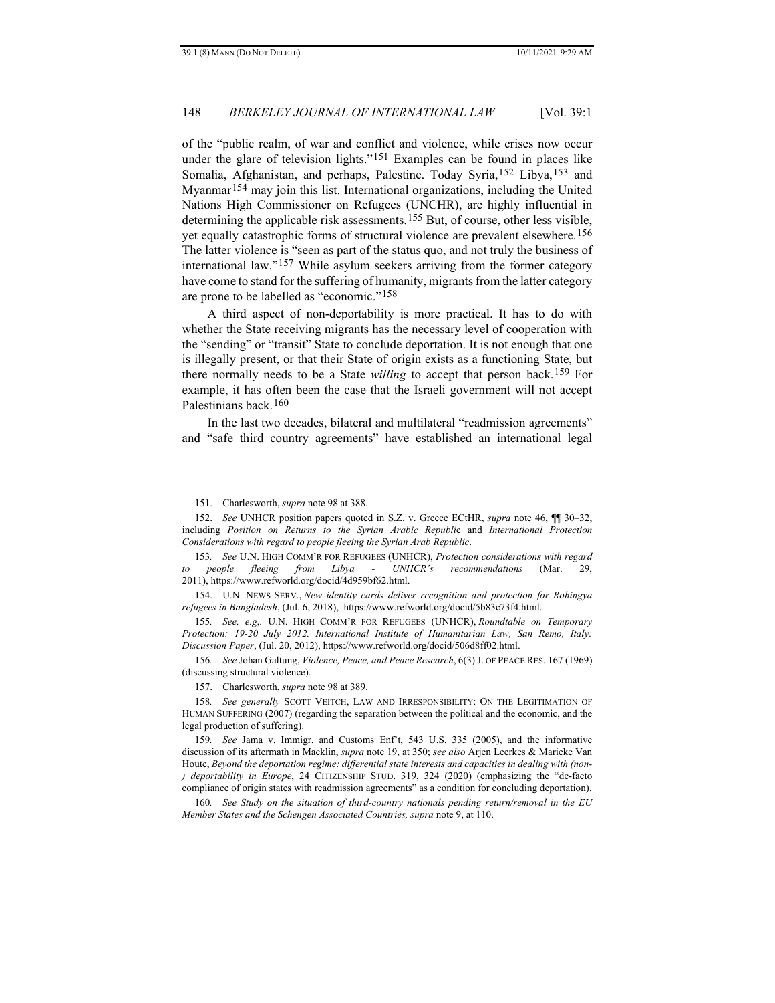of the "public realm, of war and conflict and violence, while crises now occur under the glare of television lights."[151](#page-21-0) Examples can be found in places like Somalia, Afghanistan, and perhaps, Palestine. Today Syria,[152](#page-21-1) Libya,[153](#page-21-2) and Myanmar[154](#page-21-3) may join this list. International organizations, including the United Nations High Commissioner on Refugees (UNCHR), are highly influential in determining the applicable risk assessments.[155](#page-21-4) But, of course, other less visible, yet equally catastrophic forms of structural violence are prevalent elsewhere.[156](#page-21-5) The latter violence is "seen as part of the status quo, and not truly the business of international law."[157](#page-21-6) While asylum seekers arriving from the former category have come to stand for the suffering of humanity, migrants from the latter category are prone to be labelled as "economic."[158](#page-21-7)

<span id="page-21-11"></span>A third aspect of non-deportability is more practical. It has to do with whether the State receiving migrants has the necessary level of cooperation with the "sending" or "transit" State to conclude deportation. It is not enough that one is illegally present, or that their State of origin exists as a functioning State, but there normally needs to be a State *willing* to accept that person back.[159](#page-21-8) For example, it has often been the case that the Israeli government will not accept Palestinians back.[160](#page-21-9)

<span id="page-21-10"></span>In the last two decades, bilateral and multilateral "readmission agreements" and "safe third country agreements" have established an international legal

<sup>151.</sup> Charlesworth, *supra* not[e 98](#page-14-7) at 388.

<span id="page-21-1"></span><span id="page-21-0"></span><sup>152.</sup> *See* UNHCR position papers quoted in S.Z. v. Greece ECtHR, *supra* note [46,](#page-7-10) ¶¶ 30–32, including *Position on Returns to the Syrian Arabic Republi*c and *International Protection Considerations with regard to people fleeing the Syrian Arab Republic*.

<span id="page-21-2"></span><sup>153</sup>*. See* U.N. HIGH COMM'R FOR REFUGEES (UNHCR), *Protection considerations with regard to people fleeing from Libya - UNHCR's recommendations* (Mar. 29, 2011), https://www.refworld.org/docid/4d959bf62.html.

<span id="page-21-3"></span><sup>154.</sup> U.N. NEWS SERV., *New identity cards deliver recognition and protection for Rohingya refugees in Bangladesh*, (Jul. 6, 2018), https://www.refworld.org/docid/5b83c73f4.html.

<span id="page-21-4"></span><sup>155</sup>*. See, e.g*,*.* U.N. HIGH COMM'R FOR REFUGEES (UNHCR), *Roundtable on Temporary Protection: 19-20 July 2012. International Institute of Humanitarian Law, San Remo, Italy: Discussion Paper*, (Jul. 20, 2012), https://www.refworld.org/docid/506d8ff02.html.

<span id="page-21-5"></span><sup>156</sup>*. See* Johan Galtung, *Violence, Peace, and Peace Research*, 6(3) J. OF PEACE RES. 167 (1969) (discussing structural violence).

<sup>157.</sup> Charlesworth, *supra* not[e 98](#page-14-7) at 389.

<span id="page-21-7"></span><span id="page-21-6"></span><sup>158</sup>*. See generally* SCOTT VEITCH, LAW AND IRRESPONSIBILITY: ON THE LEGITIMATION OF HUMAN SUFFERING (2007) (regarding the separation between the political and the economic, and the legal production of suffering).

<span id="page-21-8"></span><sup>159</sup>*. See* Jama v. Immigr. and Customs Enf't, 543 U.S. 335 (2005), and the informative discussion of its aftermath in Macklin, *supra* note [19,](#page-4-7) at 350; *see also* Arjen Leerkes & Marieke Van Houte, *Beyond the deportation regime: differential state interests and capacities in dealing with (non- ) deportability in Europe*, 24 CITIZENSHIP STUD. 319, 324 (2020) (emphasizing the "de-facto compliance of origin states with readmission agreements" as a condition for concluding deportation).

<span id="page-21-9"></span><sup>160</sup>*. See Study on the situation of third-country nationals pending return/removal in the EU Member States and the Schengen Associated Countries, supra* not[e 9,](#page-2-7) at 110.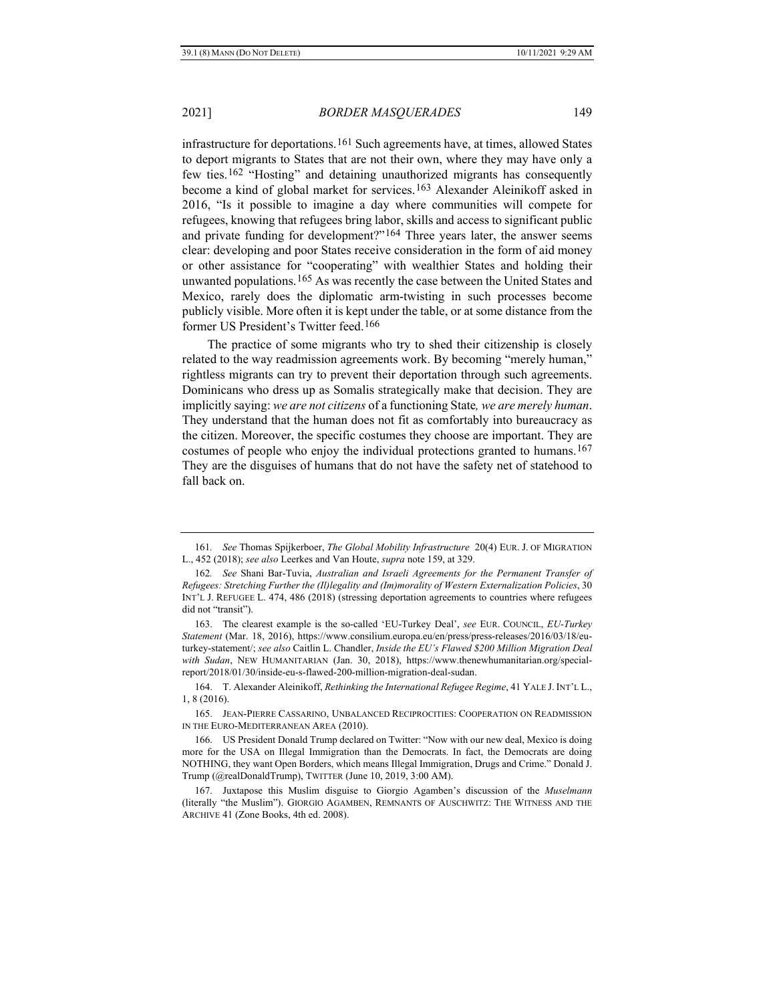infrastructure for deportations.[161](#page-22-0) Such agreements have, at times, allowed States to deport migrants to States that are not their own, where they may have only a few ties.[162](#page-22-1) "Hosting" and detaining unauthorized migrants has consequently become a kind of global market for services.[163](#page-22-2) Alexander Aleinikoff asked in 2016, "Is it possible to imagine a day where communities will compete for refugees, knowing that refugees bring labor, skills and access to significant public and private funding for development?"[164](#page-22-3) Three years later, the answer seems clear: developing and poor States receive consideration in the form of aid money or other assistance for "cooperating" with wealthier States and holding their unwanted populations.[165](#page-22-4) As was recently the case between the United States and Mexico, rarely does the diplomatic arm-twisting in such processes become publicly visible. More often it is kept under the table, or at some distance from the former US President's Twitter feed.[166](#page-22-5)

The practice of some migrants who try to shed their citizenship is closely related to the way readmission agreements work. By becoming "merely human," rightless migrants can try to prevent their deportation through such agreements. Dominicans who dress up as Somalis strategically make that decision. They are implicitly saying: *we are not citizens* of a functioning State*, we are merely human*. They understand that the human does not fit as comfortably into bureaucracy as the citizen. Moreover, the specific costumes they choose are important. They are costumes of people who enjoy the individual protections granted to humans.<sup>[167](#page-22-6)</sup> They are the disguises of humans that do not have the safety net of statehood to fall back on.

<span id="page-22-0"></span><sup>161</sup>*. See* Thomas Spijkerboer, *The Global Mobility Infrastructure* 20(4) EUR. J. OF MIGRATION L., 452 (2018); *see also* Leerkes and Van Houte, *supra* not[e 159,](#page-21-10) at 329.

<span id="page-22-1"></span><sup>162</sup>*. See* Shani Bar-Tuvia, *Australian and Israeli Agreements for the Permanent Transfer of Refugees: Stretching Further the (Il)legality and (Im)morality of Western Externalization Policies*, 30 INT'L J. REFUGEE L. 474, 486 (2018) (stressing deportation agreements to countries where refugees did not "transit").

<span id="page-22-2"></span><sup>163.</sup> The clearest example is the so-called 'EU-Turkey Deal', *see* EUR. COUNCIL, *EU-Turkey Statement* (Mar. 18, 2016), https://www.consilium.europa.eu/en/press/press-releases/2016/03/18/euturkey-statement/; *see also* Caitlin L. Chandler, *Inside the EU's Flawed \$200 Million Migration Deal with Sudan*, NEW HUMANITARIAN (Jan. 30, 2018), https://www.thenewhumanitarian.org/specialreport/2018/01/30/inside-eu-s-flawed-200-million-migration-deal-sudan.

<span id="page-22-3"></span><sup>164.</sup> T. Alexander Aleinikoff, *Rethinking the International Refugee Regime*, 41 YALE J. INT'L L., 1, 8 (2016).

<span id="page-22-4"></span><sup>165.</sup> JEAN-PIERRE CASSARINO, UNBALANCED RECIPROCITIES: COOPERATION ON READMISSION IN THE EURO-MEDITERRANEAN AREA (2010).

<span id="page-22-5"></span><sup>166.</sup> US President Donald Trump declared on Twitter: "Now with our new deal, Mexico is doing more for the USA on Illegal Immigration than the Democrats. In fact, the Democrats are doing NOTHING, they want Open Borders, which means Illegal Immigration, Drugs and Crime." Donald J. Trump (@realDonaldTrump), TWITTER (June 10, 2019, 3:00 AM).

<span id="page-22-6"></span><sup>167.</sup> Juxtapose this Muslim disguise to Giorgio Agamben's discussion of the *Muselmann*  (literally "the Muslim"). GIORGIO AGAMBEN, REMNANTS OF AUSCHWITZ: THE WITNESS AND THE ARCHIVE 41 (Zone Books, 4th ed. 2008).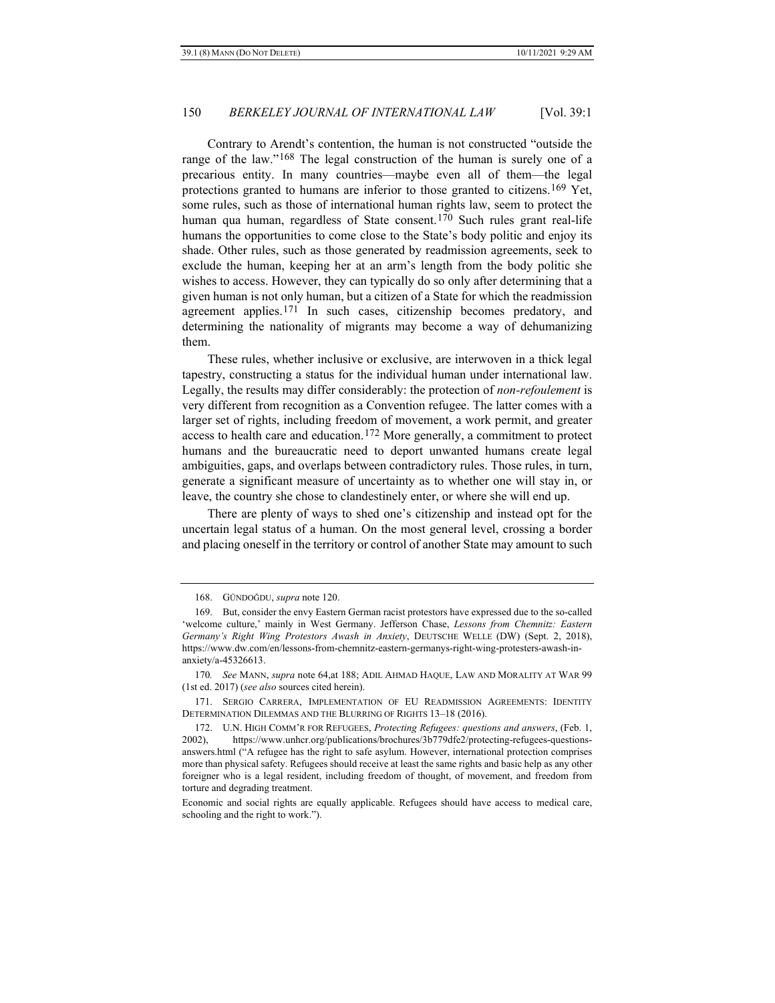Contrary to Arendt's contention, the human is not constructed "outside the range of the law."[168](#page-23-0) The legal construction of the human is surely one of a precarious entity. In many countries—maybe even all of them—the legal protections granted to humans are inferior to those granted to citizens.[169](#page-23-1) Yet, some rules, such as those of international human rights law, seem to protect the human qua human, regardless of State consent.<sup>[170](#page-23-2)</sup> Such rules grant real-life humans the opportunities to come close to the State's body politic and enjoy its shade. Other rules, such as those generated by readmission agreements, seek to exclude the human, keeping her at an arm's length from the body politic she wishes to access. However, they can typically do so only after determining that a given human is not only human, but a citizen of a State for which the readmission agreement applies.[171](#page-23-3) In such cases, citizenship becomes predatory, and determining the nationality of migrants may become a way of dehumanizing them.

These rules, whether inclusive or exclusive, are interwoven in a thick legal tapestry, constructing a status for the individual human under international law. Legally, the results may differ considerably: the protection of *non-refoulement* is very different from recognition as a Convention refugee. The latter comes with a larger set of rights, including freedom of movement, a work permit, and greater access to health care and education.<sup>[172](#page-23-4)</sup> More generally, a commitment to protect humans and the bureaucratic need to deport unwanted humans create legal ambiguities, gaps, and overlaps between contradictory rules. Those rules, in turn, generate a significant measure of uncertainty as to whether one will stay in, or leave, the country she chose to clandestinely enter, or where she will end up.

There are plenty of ways to shed one's citizenship and instead opt for the uncertain legal status of a human. On the most general level, crossing a border and placing oneself in the territory or control of another State may amount to such

<sup>168.</sup> GÜNDOĞDU, *supra* not[e 120.](#page-17-5)

<span id="page-23-1"></span><span id="page-23-0"></span><sup>169.</sup> But, consider the envy Eastern German racist protestors have expressed due to the so-called 'welcome culture,' mainly in West Germany. Jefferson Chase, *Lessons from Chemnitz: Eastern Germany's Right Wing Protestors Awash in Anxiety*, DEUTSCHE WELLE (DW) (Sept. 2, 2018), https://www.dw.com/en/lessons-from-chemnitz-eastern-germanys-right-wing-protesters-awash-inanxiety/a-45326613.

<span id="page-23-2"></span><sup>170</sup>*. See* MANN, *supra* not[e 64,a](#page-9-9)t 188; ADIL AHMAD HAQUE, LAW AND MORALITY AT WAR 99 (1st ed. 2017) (*see also* sources cited herein).

<span id="page-23-3"></span><sup>171.</sup> SERGIO CARRERA, IMPLEMENTATION OF EU READMISSION AGREEMENTS: IDENTITY DETERMINATION DILEMMAS AND THE BLURRING OF RIGHTS 13–18 (2016).

<span id="page-23-4"></span><sup>172.</sup> U.N. HIGH COMM'R FOR REFUGEES, *Protecting Refugees: questions and answers*, (Feb. 1, 2002), https://www.unhcr.org/publications/brochures/3b779dfe2/protecting-refugees-questionsanswers.html ("A refugee has the right to safe asylum. However, international protection comprises more than physical safety. Refugees should receive at least the same rights and basic help as any other foreigner who is a legal resident, including freedom of thought, of movement, and freedom from torture and degrading treatment.

Economic and social rights are equally applicable. Refugees should have access to medical care, schooling and the right to work.").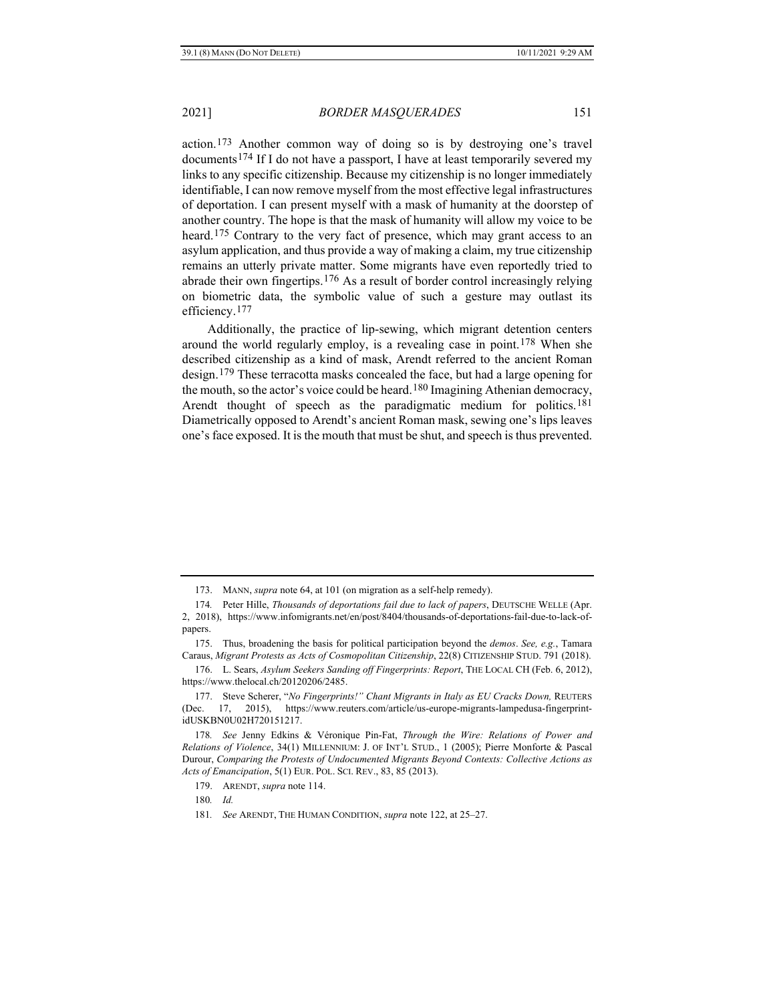action.[173](#page-24-0) Another common way of doing so is by destroying one's travel documents[174](#page-24-1) If I do not have a passport, I have at least temporarily severed my links to any specific citizenship. Because my citizenship is no longer immediately identifiable, I can now remove myself from the most effective legal infrastructures of deportation. I can present myself with a mask of humanity at the doorstep of another country. The hope is that the mask of humanity will allow my voice to be heard.[175](#page-24-2) Contrary to the very fact of presence, which may grant access to an asylum application, and thus provide a way of making a claim, my true citizenship remains an utterly private matter. Some migrants have even reportedly tried to abrade their own fingertips.[176](#page-24-3) As a result of border control increasingly relying on biometric data, the symbolic value of such a gesture may outlast its efficiency.[177](#page-24-4)

Additionally, the practice of lip-sewing, which migrant detention centers around the world regularly employ, is a revealing case in point.<sup>[178](#page-24-5)</sup> When she described citizenship as a kind of mask, Arendt referred to the ancient Roman design.[179](#page-24-6) These terracotta masks concealed the face, but had a large opening for the mouth, so the actor's voice could be heard.<sup>[180](#page-24-7)</sup> Imagining Athenian democracy, Arendt thought of speech as the paradigmatic medium for politics.[181](#page-24-8) Diametrically opposed to Arendt's ancient Roman mask, sewing one's lips leaves one's face exposed. It is the mouth that must be shut, and speech is thus prevented.

<sup>173.</sup> MANN, *supra* note [64,](#page-9-9) at 101 (on migration as a self-help remedy).

<span id="page-24-1"></span><span id="page-24-0"></span><sup>174</sup>*.* Peter Hille, *Thousands of deportations fail due to lack of papers*, DEUTSCHE WELLE (Apr. 2, 2018), [https://www.infomigrants.net/en/post/8404/thousands-of-deportations-fail-due-to-lack-of](https://www.infomigrants.net/en/post/8404/thousands-of-deportations-fail-due-to-lack-of-papers)[papers.](https://www.infomigrants.net/en/post/8404/thousands-of-deportations-fail-due-to-lack-of-papers)

<span id="page-24-2"></span><sup>175.</sup> Thus, broadening the basis for political participation beyond the *demos*. *See, e.g.*, Tamara Caraus, *Migrant Protests as Acts of Cosmopolitan Citizenship*, 22(8) CITIZENSHIP STUD. 791 (2018).

<span id="page-24-3"></span><sup>176.</sup> L. Sears, *Asylum Seekers Sanding off Fingerprints: Report*, THE LOCAL CH (Feb. 6, 2012), https://www.thelocal.ch/20120206/2485.

<span id="page-24-4"></span><sup>177.</sup> Steve Scherer, "*No Fingerprints!" Chant Migrants in Italy as EU Cracks Down,* REUTERS (Dec. 17, 2015), https://www.reuters.com/article/us-europe-migrants-lampedusa-fingerprintidUSKBN0U02H720151217.

<span id="page-24-7"></span><span id="page-24-6"></span><span id="page-24-5"></span><sup>178</sup>*. See* Jenny Edkins & Véronique Pin-Fat, *Through the Wire: Relations of Power and Relations of Violence*, 34(1) MILLENNIUM: J. OF INT'L STUD., 1 (2005); Pierre Monforte & Pascal Durour, *Comparing the Protests of Undocumented Migrants Beyond Contexts: Collective Actions as Acts of Emancipation*, 5(1) EUR. POL. SCI. REV., 83, 85 (2013).

<sup>179.</sup> ARENDT, *supra* not[e 114.](#page-16-0)

<sup>180</sup>*. Id.*

<span id="page-24-8"></span><sup>181</sup>*. See* ARENDT, THE HUMAN CONDITION, *supra* not[e 122,](#page-17-4) at 25–27.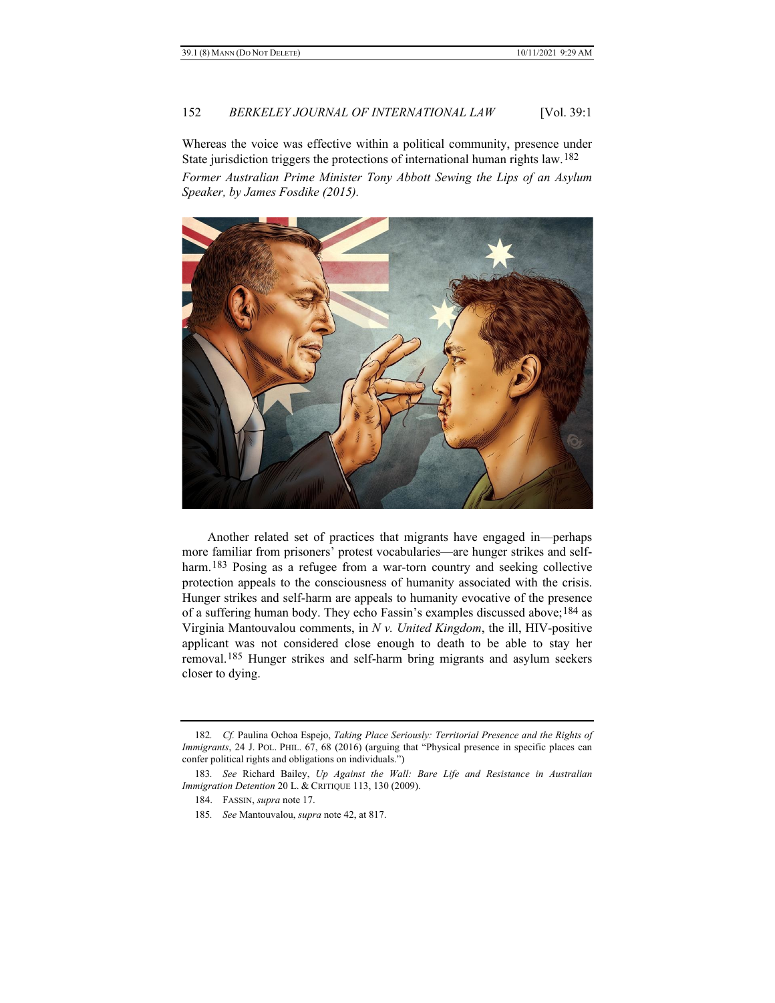Whereas the voice was effective within a political community, presence under State jurisdiction triggers the protections of international human rights law.[182](#page-25-0) *Former Australian Prime Minister Tony Abbott Sewing the Lips of an Asylum Speaker, by James Fosdike (2015).*



Another related set of practices that migrants have engaged in—perhaps more familiar from prisoners' protest vocabularies—are hunger strikes and self-harm.<sup>[183](#page-25-1)</sup> Posing as a refugee from a war-torn country and seeking collective protection appeals to the consciousness of humanity associated with the crisis. Hunger strikes and self-harm are appeals to humanity evocative of the presence of a suffering human body. They echo Fassin's examples discussed above;[184](#page-25-2) as Virginia Mantouvalou comments, in *N v. United Kingdom*, the ill, HIV-positive applicant was not considered close enough to death to be able to stay her removal.[185](#page-25-3) Hunger strikes and self-harm bring migrants and asylum seekers closer to dying.

<span id="page-25-0"></span><sup>182</sup>*. Cf.* Paulina Ochoa Espejo, *Taking Place Seriously: Territorial Presence and the Rights of Immigrants*, 24 J. POL. PHIL. 67, 68 (2016) (arguing that "Physical presence in specific places can confer political rights and obligations on individuals.")

<span id="page-25-3"></span><span id="page-25-2"></span><span id="page-25-1"></span><sup>183</sup>*. See* Richard Bailey, *Up Against the Wall: Bare Life and Resistance in Australian Immigration Detention* 20 L. & CRITIQUE 113, 130 (2009).

<sup>184.</sup> FASSIN, *supra* not[e 17.](#page-3-9)

<sup>185</sup>*. See* Mantouvalou, *supra* note [42,](#page-7-9) at 817.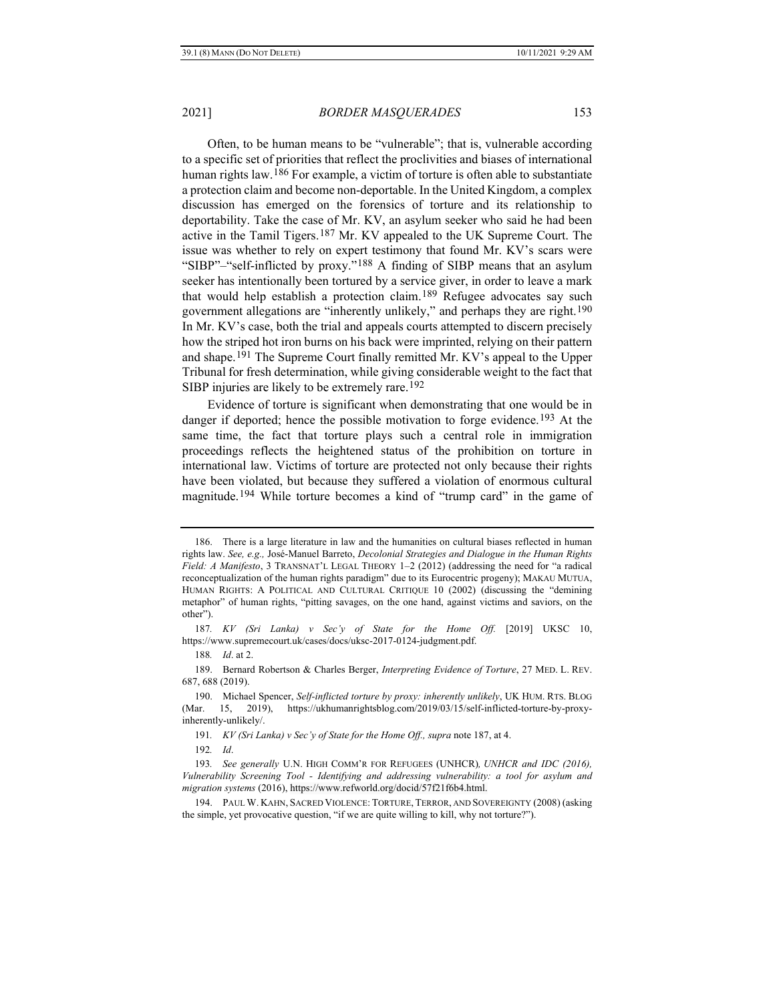<span id="page-26-0"></span>Often, to be human means to be "vulnerable"; that is, vulnerable according to a specific set of priorities that reflect the proclivities and biases of international human rights law.[186](#page-26-1) For example, a victim of torture is often able to substantiate a protection claim and become non-deportable. In the United Kingdom, a complex discussion has emerged on the forensics of torture and its relationship to deportability. Take the case of Mr. KV, an asylum seeker who said he had been active in the Tamil Tigers.[187](#page-26-2) Mr. KV appealed to the UK Supreme Court. The issue was whether to rely on expert testimony that found Mr. KV's scars were "SIBP"–"self-inflicted by proxy."[188](#page-26-3) A finding of SIBP means that an asylum seeker has intentionally been tortured by a service giver, in order to leave a mark that would help establish a protection claim.<sup>[189](#page-26-4)</sup> Refugee advocates say such government allegations are "inherently unlikely," and perhaps they are right.[190](#page-26-5) In Mr. KV's case, both the trial and appeals courts attempted to discern precisely how the striped hot iron burns on his back were imprinted, relying on their pattern and shape.[191](#page-26-6) The Supreme Court finally remitted Mr. KV's appeal to the Upper Tribunal for fresh determination, while giving considerable weight to the fact that SIBP injuries are likely to be extremely rare.<sup>[192](#page-26-7)</sup>

Evidence of torture is significant when demonstrating that one would be in danger if deported; hence the possible motivation to forge evidence.<sup>[193](#page-26-8)</sup> At the same time, the fact that torture plays such a central role in immigration proceedings reflects the heightened status of the prohibition on torture in international law. Victims of torture are protected not only because their rights have been violated, but because they suffered a violation of enormous cultural magnitude.[194](#page-26-9) While torture becomes a kind of "trump card" in the game of

<span id="page-26-1"></span><sup>186.</sup> There is a large literature in law and the humanities on cultural biases reflected in human rights law. *See, e.g.,* José-Manuel Barreto, *Decolonial Strategies and Dialogue in the Human Rights Field: A Manifesto*, 3 TRANSNAT'L LEGAL THEORY 1–2 (2012) (addressing the need for "a radical reconceptualization of the human rights paradigm" due to its Eurocentric progeny); MAKAU MUTUA, HUMAN RIGHTS: A POLITICAL AND CULTURAL CRITIQUE 10 (2002) (discussing the "demining metaphor" of human rights, "pitting savages, on the one hand, against victims and saviors, on the other").

<span id="page-26-2"></span><sup>187</sup>*. KV (Sri Lanka) v Sec'y of State for the Home Off.* [2019] UKSC 10, https://www.supremecourt.uk/cases/docs/uksc-2017-0124-judgment.pdf.

<sup>188</sup>*. Id*. at 2.

<span id="page-26-4"></span><span id="page-26-3"></span><sup>189.</sup> Bernard Robertson & Charles Berger, *Interpreting Evidence of Torture*, 27 MED. L. REV. 687, 688 (2019).

<span id="page-26-5"></span><sup>190.</sup> Michael Spencer, *Self-inflicted torture by proxy: inherently unlikely*, UK HUM. RTS. BLOG (Mar. 15, 2019), https://ukhumanrightsblog.com/2019/03/15/self-inflicted-torture-by-proxyinherently-unlikely/.

<sup>191</sup>*. KV (Sri Lanka) v Sec'y of State for the Home Off., supra* not[e 187,](#page-26-0) at 4.

<sup>192</sup>*. Id*.

<span id="page-26-8"></span><span id="page-26-7"></span><span id="page-26-6"></span><sup>193</sup>*. See generally* U.N. HIGH COMM'R FOR REFUGEES (UNHCR)*, UNHCR and IDC (2016), Vulnerability Screening Tool - Identifying and addressing vulnerability: a tool for asylum and migration systems* (2016), https://www.refworld.org/docid/57f21f6b4.html.

<span id="page-26-9"></span><sup>194.</sup> PAUL W. KAHN, SACRED VIOLENCE: TORTURE, TERROR, AND SOVEREIGNTY (2008) (asking the simple, yet provocative question, "if we are quite willing to kill, why not torture?").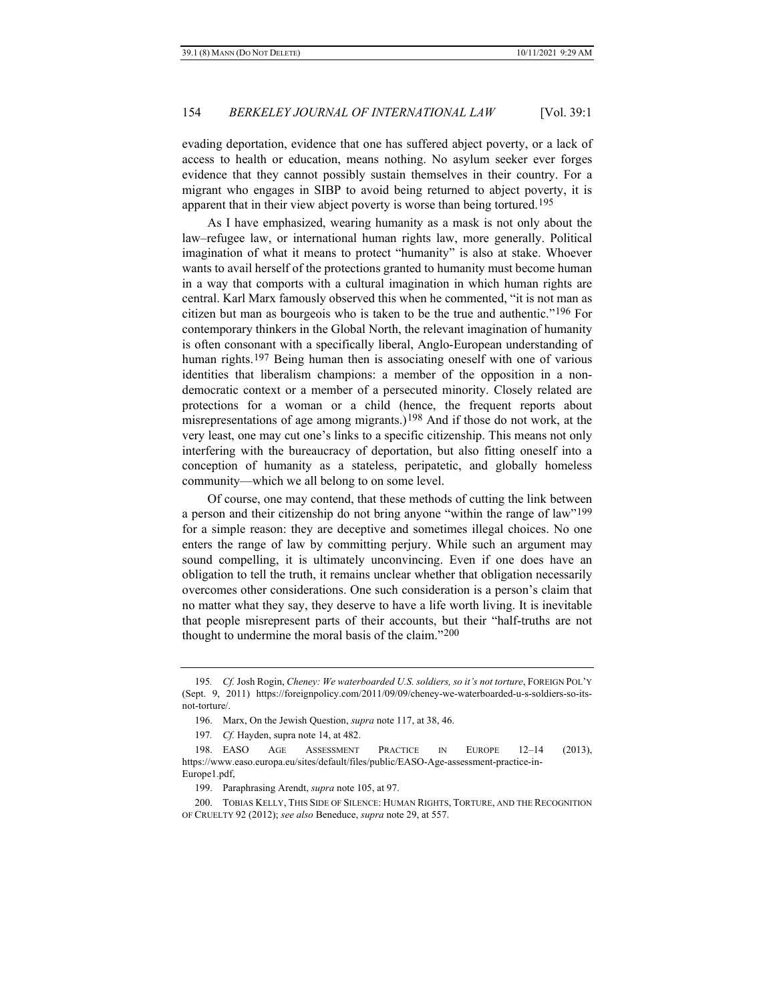evading deportation, evidence that one has suffered abject poverty, or a lack of access to health or education, means nothing. No asylum seeker ever forges evidence that they cannot possibly sustain themselves in their country. For a migrant who engages in SIBP to avoid being returned to abject poverty, it is apparent that in their view abject poverty is worse than being tortured.[195](#page-27-0)

As I have emphasized, wearing humanity as a mask is not only about the law–refugee law, or international human rights law, more generally. Political imagination of what it means to protect "humanity" is also at stake. Whoever wants to avail herself of the protections granted to humanity must become human in a way that comports with a cultural imagination in which human rights are central. Karl Marx famously observed this when he commented, "it is not man as citizen but man as bourgeois who is taken to be the true and authentic."[196](#page-27-1) For contemporary thinkers in the Global North, the relevant imagination of humanity is often consonant with a specifically liberal, Anglo-European understanding of human rights.<sup>[197](#page-27-2)</sup> Being human then is associating oneself with one of various identities that liberalism champions: a member of the opposition in a nondemocratic context or a member of a persecuted minority. Closely related are protections for a woman or a child (hence, the frequent reports about misrepresentations of age among migrants.)<sup>[198](#page-27-3)</sup> And if those do not work, at the very least, one may cut one's links to a specific citizenship. This means not only interfering with the bureaucracy of deportation, but also fitting oneself into a conception of humanity as a stateless, peripatetic, and globally homeless community—which we all belong to on some level.

Of course, one may contend, that these methods of cutting the link between a person and their citizenship do not bring anyone "within the range of law"[199](#page-27-4) for a simple reason: they are deceptive and sometimes illegal choices. No one enters the range of law by committing perjury. While such an argument may sound compelling, it is ultimately unconvincing. Even if one does have an obligation to tell the truth, it remains unclear whether that obligation necessarily overcomes other considerations. One such consideration is a person's claim that no matter what they say, they deserve to have a life worth living. It is inevitable that people misrepresent parts of their accounts, but their "half-truths are not thought to undermine the moral basis of the claim."[200](#page-27-5)

<span id="page-27-0"></span><sup>195</sup>*. Cf.* Josh Rogin, *Cheney: We waterboarded U.S. soldiers, so it's not torture*, FOREIGN POL'Y (Sept. 9, 2011) https://foreignpolicy.com/2011/09/09/cheney-we-waterboarded-u-s-soldiers-so-itsnot-torture/.

<sup>196.</sup> Marx, On the Jewish Question, *supra* not[e 117,](#page-16-10) at 38, 46.

<sup>197</sup>*. Cf.* Hayden, supra not[e 14,](#page-3-11) at 482.

<span id="page-27-3"></span><span id="page-27-2"></span><span id="page-27-1"></span><sup>198.</sup> EASO AGE ASSESSMENT PRACTICE IN EUROPE 12–14 (2013), https://www.easo.europa.eu/sites/default/files/public/EASO-Age-assessment-practice-in-Europe1.pdf,

<sup>199.</sup> Paraphrasing Arendt, *supra* not[e 105,](#page-15-0) at 97.

<span id="page-27-5"></span><span id="page-27-4"></span><sup>200.</sup> TOBIAS KELLY, THIS SIDE OF SILENCE: HUMAN RIGHTS, TORTURE, AND THE RECOGNITION OF CRUELTY 92 (2012); *see also* Beneduce, *supra* not[e 29,](#page-5-9) at 557.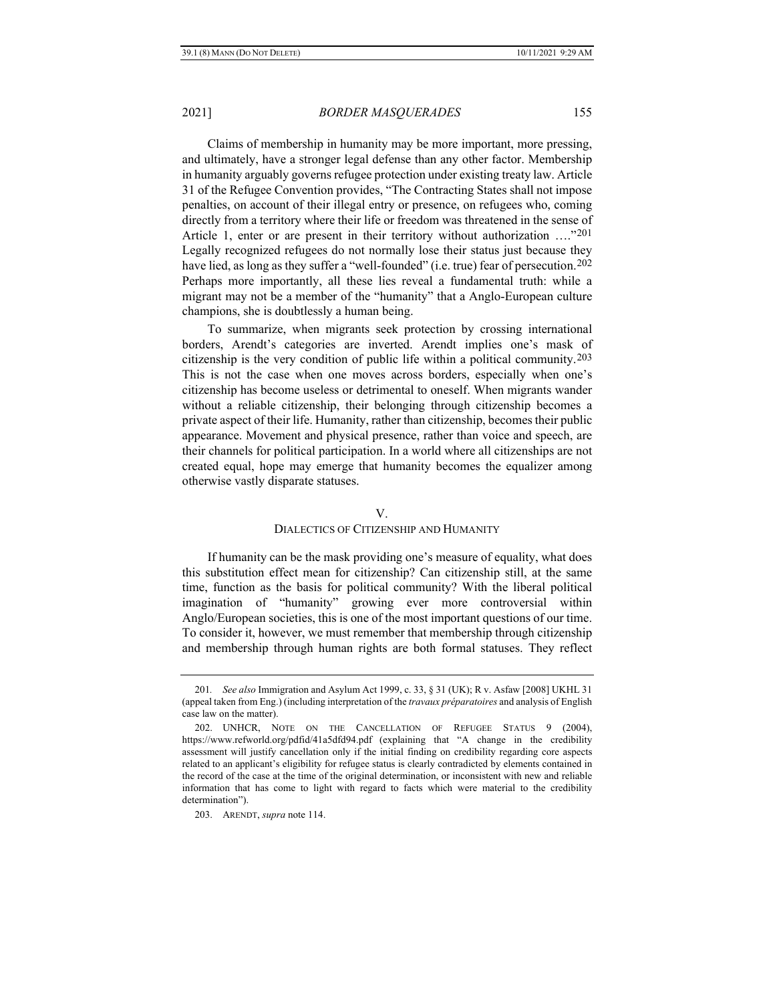Claims of membership in humanity may be more important, more pressing, and ultimately, have a stronger legal defense than any other factor. Membership in humanity arguably governs refugee protection under existing treaty law. Article 31 of the Refugee Convention provides, "The Contracting States shall not impose penalties, on account of their illegal entry or presence, on refugees who, coming directly from a territory where their life or freedom was threatened in the sense of Article 1, enter or are present in their territory without authorization …."[201](#page-28-0) Legally recognized refugees do not normally lose their status just because they have lied, as long as they suffer a "well-founded" (i.e. true) fear of persecution.<sup>[202](#page-28-1)</sup> Perhaps more importantly, all these lies reveal a fundamental truth: while a migrant may not be a member of the "humanity" that a Anglo-European culture champions, she is doubtlessly a human being.

To summarize, when migrants seek protection by crossing international borders, Arendt's categories are inverted. Arendt implies one's mask of citizenship is the very condition of public life within a political community.[203](#page-28-2) This is not the case when one moves across borders, especially when one's citizenship has become useless or detrimental to oneself. When migrants wander without a reliable citizenship, their belonging through citizenship becomes a private aspect of their life. Humanity, rather than citizenship, becomes their public appearance. Movement and physical presence, rather than voice and speech, are their channels for political participation. In a world where all citizenships are not created equal, hope may emerge that humanity becomes the equalizer among otherwise vastly disparate statuses.

### V.

### DIALECTICS OF CITIZENSHIP AND HUMANITY

If humanity can be the mask providing one's measure of equality, what does this substitution effect mean for citizenship? Can citizenship still, at the same time, function as the basis for political community? With the liberal political imagination of "humanity" growing ever more controversial within Anglo/European societies, this is one of the most important questions of our time. To consider it, however, we must remember that membership through citizenship and membership through human rights are both formal statuses. They reflect

<span id="page-28-2"></span>203. ARENDT, *supra* not[e 114.](#page-16-0)

<span id="page-28-0"></span><sup>201</sup>*. See also* Immigration and Asylum Act 1999, c. 33, § 31 (UK); R v. Asfaw [2008] UKHL 31 (appeal taken from Eng.) (including interpretation of the *travaux préparatoires* and analysis of English case law on the matter).

<span id="page-28-1"></span><sup>202.</sup> UNHCR, NOTE ON THE CANCELLATION OF REFUGEE STATUS 9 (2004), https://www.refworld.org/pdfid/41a5dfd94.pdf (explaining that "A change in the credibility assessment will justify cancellation only if the initial finding on credibility regarding core aspects related to an applicant's eligibility for refugee status is clearly contradicted by elements contained in the record of the case at the time of the original determination, or inconsistent with new and reliable information that has come to light with regard to facts which were material to the credibility determination").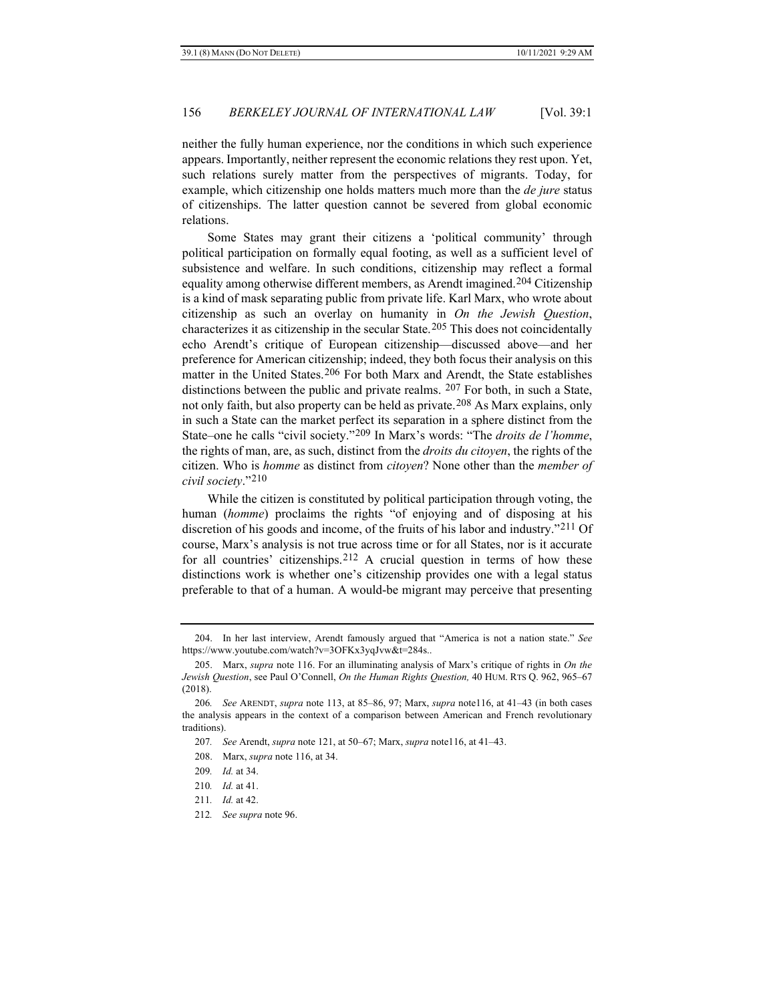neither the fully human experience, nor the conditions in which such experience appears. Importantly, neither represent the economic relations they rest upon. Yet, such relations surely matter from the perspectives of migrants. Today, for example, which citizenship one holds matters much more than the *de jure* status of citizenships. The latter question cannot be severed from global economic relations.

<span id="page-29-9"></span>Some States may grant their citizens a 'political community' through political participation on formally equal footing, as well as a sufficient level of subsistence and welfare. In such conditions, citizenship may reflect a formal equality among otherwise different members, as Arendt imagined.[204](#page-29-0) Citizenship is a kind of mask separating public from private life. Karl Marx, who wrote about citizenship as such an overlay on humanity in *On the Jewish Question*, characterizes it as citizenship in the secular State.[205](#page-29-1) This does not coincidentally echo Arendt's critique of European citizenship—discussed above—and her preference for American citizenship; indeed, they both focus their analysis on this matter in the United States.[206](#page-29-2) For both Marx and Arendt, the State establishes distinctions between the public and private realms. [207](#page-29-3) For both, in such a State, not only faith, but also property can be held as private.[208](#page-29-4) As Marx explains, only in such a State can the market perfect its separation in a sphere distinct from the State–one he calls "civil society."[209](#page-29-5) In Marx's words: "The *droits de l'homme*, the rights of man, are, as such, distinct from the *droits du citoyen*, the rights of the citizen. Who is *homme* as distinct from *citoyen*? None other than the *member of civil society*."[210](#page-29-6)

While the citizen is constituted by political participation through voting, the human (*homme*) proclaims the rights "of enjoying and of disposing at his discretion of his goods and income, of the fruits of his labor and industry."[211](#page-29-7) Of course, Marx's analysis is not true across time or for all States, nor is it accurate for all countries' citizenships.<sup>[212](#page-29-8)</sup> A crucial question in terms of how these distinctions work is whether one's citizenship provides one with a legal status preferable to that of a human. A would-be migrant may perceive that presenting

- 207*. See* Arendt, *supra* note [121,](#page-17-6) at 50–67; Marx, *supra* not[e116,](#page-16-11) at 41–43.
- 208. Marx, *supra* note [116,](#page-16-11) at 34.

<span id="page-29-0"></span><sup>204.</sup> In her last interview, Arendt famously argued that "America is not a nation state." *See*  https://www.youtube.com/watch?v=3OFKx3yqJvw&t=284s..

<span id="page-29-1"></span><sup>205.</sup> Marx, *supra* note [116.](#page-16-11) For an illuminating analysis of Marx's critique of rights in *On the Jewish Question*, see Paul O'Connell, *On the Human Rights Question,* 40 HUM. RTS Q. 962, 965–67 (2018).

<span id="page-29-4"></span><span id="page-29-3"></span><span id="page-29-2"></span><sup>206</sup>*. See* ARENDT, *supra* note [113,](#page-16-12) at 85–86, 97; Marx, *supra* not[e116,](#page-16-11) at 41–43 (in both cases the analysis appears in the context of a comparison between American and French revolutionary traditions).

<sup>209</sup>*. Id.* at 34.

<span id="page-29-8"></span><span id="page-29-7"></span><span id="page-29-6"></span><span id="page-29-5"></span><sup>210</sup>*. Id.* at 41.

<sup>211</sup>*. Id.* at 42.

<sup>212</sup>*. See supra* note [96.](#page-14-8)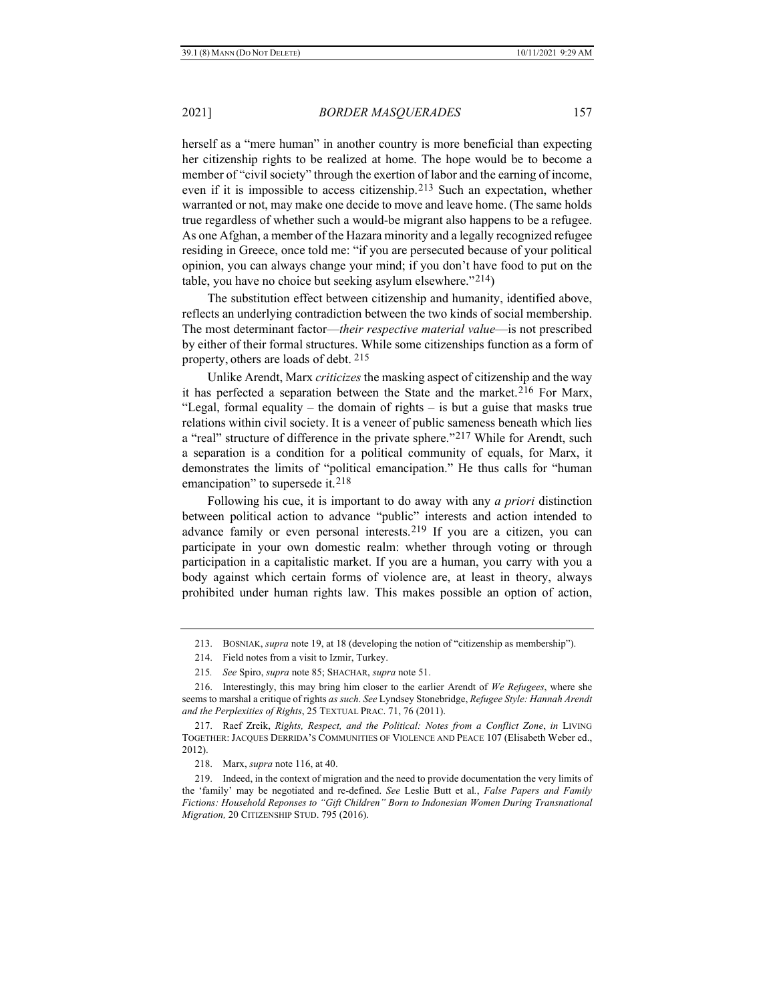herself as a "mere human" in another country is more beneficial than expecting her citizenship rights to be realized at home. The hope would be to become a member of "civil society" through the exertion of labor and the earning of income, even if it is impossible to access citizenship.[213](#page-30-0) Such an expectation, whether warranted or not, may make one decide to move and leave home. (The same holds true regardless of whether such a would-be migrant also happens to be a refugee. As one Afghan, a member of the Hazara minority and a legally recognized refugee residing in Greece, once told me: "if you are persecuted because of your political opinion, you can always change your mind; if you don't have food to put on the table, you have no choice but seeking asylum elsewhere."[214\)](#page-30-1)

The substitution effect between citizenship and humanity, identified above, reflects an underlying contradiction between the two kinds of social membership. The most determinant factor—*their respective material value*—is not prescribed by either of their formal structures. While some citizenships function as a form of property, others are loads of debt. [215](#page-30-2)

Unlike Arendt, Marx *criticizes* the masking aspect of citizenship and the way it has perfected a separation between the State and the market.<sup>[216](#page-30-3)</sup> For Marx, "Legal, formal equality – the domain of rights – is but a guise that masks true relations within civil society. It is a veneer of public sameness beneath which lies a "real" structure of difference in the private sphere."[217](#page-30-4) While for Arendt, such a separation is a condition for a political community of equals, for Marx, it demonstrates the limits of "political emancipation." He thus calls for "human emancipation" to supersede it.<sup>[218](#page-30-5)</sup>

Following his cue, it is important to do away with any *a priori* distinction between political action to advance "public" interests and action intended to advance family or even personal interests.[219](#page-30-6) If you are a citizen, you can participate in your own domestic realm: whether through voting or through participation in a capitalistic market. If you are a human, you carry with you a body against which certain forms of violence are, at least in theory, always prohibited under human rights law. This makes possible an option of action,

<sup>213.</sup> BOSNIAK, *supra* note [19,](#page-4-7) at 18 (developing the notion of "citizenship as membership").

<sup>214.</sup> Field notes from a visit to Izmir, Turkey.

<sup>215</sup>*. See* Spiro, *supra* not[e 85;](#page-12-9) SHACHAR, *supra* not[e 51.](#page-8-8)

<span id="page-30-3"></span><span id="page-30-2"></span><span id="page-30-1"></span><span id="page-30-0"></span><sup>216.</sup> Interestingly, this may bring him closer to the earlier Arendt of *We Refugees*, where she seems to marshal a critique of rights *as such*. *See* Lyndsey Stonebridge, *Refugee Style: Hannah Arendt and the Perplexities of Rights*, 25 TEXTUAL PRAC. 71, 76 (2011).

<span id="page-30-4"></span><sup>217.</sup> Raef Zreik, *Rights, Respect, and the Political: Notes from a Conflict Zone*, *in* LIVING TOGETHER: JACQUES DERRIDA'S COMMUNITIES OF VIOLENCE AND PEACE 107 (Elisabeth Weber ed., 2012).

<sup>218.</sup> Marx, *supra* note [116,](#page-16-11) at 40.

<span id="page-30-6"></span><span id="page-30-5"></span><sup>219.</sup> Indeed, in the context of migration and the need to provide documentation the very limits of the 'family' may be negotiated and re-defined. *See* Leslie Butt et al*.*, *False Papers and Family Fictions: Household Reponses to "Gift Children" Born to Indonesian Women During Transnational Migration,* 20 CITIZENSHIP STUD. 795 (2016).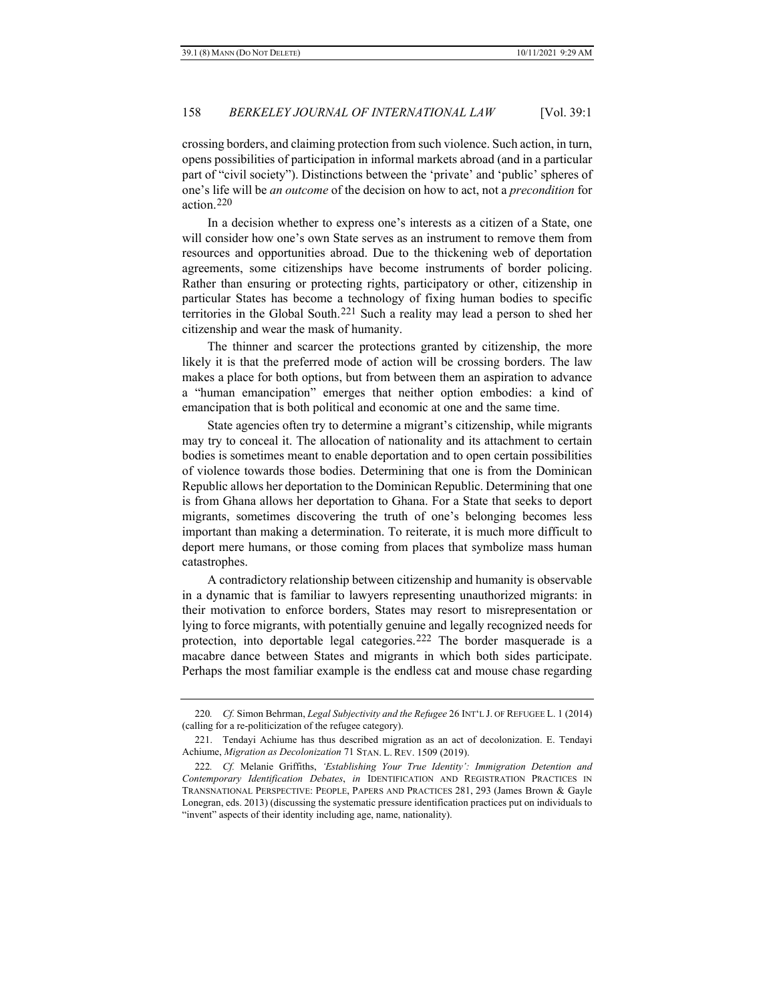crossing borders, and claiming protection from such violence. Such action, in turn, opens possibilities of participation in informal markets abroad (and in a particular part of "civil society"). Distinctions between the 'private' and 'public' spheres of one's life will be *an outcome* of the decision on how to act, not a *precondition* for action.[220](#page-31-0)

In a decision whether to express one's interests as a citizen of a State, one will consider how one's own State serves as an instrument to remove them from resources and opportunities abroad. Due to the thickening web of deportation agreements, some citizenships have become instruments of border policing. Rather than ensuring or protecting rights, participatory or other, citizenship in particular States has become a technology of fixing human bodies to specific territories in the Global South.[221](#page-31-1) Such a reality may lead a person to shed her citizenship and wear the mask of humanity.

The thinner and scarcer the protections granted by citizenship, the more likely it is that the preferred mode of action will be crossing borders. The law makes a place for both options, but from between them an aspiration to advance a "human emancipation" emerges that neither option embodies: a kind of emancipation that is both political and economic at one and the same time.

State agencies often try to determine a migrant's citizenship, while migrants may try to conceal it. The allocation of nationality and its attachment to certain bodies is sometimes meant to enable deportation and to open certain possibilities of violence towards those bodies. Determining that one is from the Dominican Republic allows her deportation to the Dominican Republic. Determining that one is from Ghana allows her deportation to Ghana. For a State that seeks to deport migrants, sometimes discovering the truth of one's belonging becomes less important than making a determination. To reiterate, it is much more difficult to deport mere humans, or those coming from places that symbolize mass human catastrophes.

A contradictory relationship between citizenship and humanity is observable in a dynamic that is familiar to lawyers representing unauthorized migrants: in their motivation to enforce borders, States may resort to misrepresentation or lying to force migrants, with potentially genuine and legally recognized needs for protection, into deportable legal categories.[222](#page-31-2) The border masquerade is a macabre dance between States and migrants in which both sides participate. Perhaps the most familiar example is the endless cat and mouse chase regarding

<span id="page-31-0"></span><sup>220</sup>*. Cf.* Simon Behrman, *Legal Subjectivity and the Refugee* 26 INT'L J. OF REFUGEE L. 1 (2014) (calling for a re-politicization of the refugee category).

<span id="page-31-1"></span><sup>221.</sup> Tendayi Achiume has thus described migration as an act of decolonization. E. Tendayi Achiume, *Migration as Decolonization* 71 STAN. L. REV. 1509 (2019).

<span id="page-31-2"></span><sup>222</sup>*. Cf.* Melanie Griffiths, *'Establishing Your True Identity': Immigration Detention and Contemporary Identification Debates*, *in* IDENTIFICATION AND REGISTRATION PRACTICES IN TRANSNATIONAL PERSPECTIVE: PEOPLE, PAPERS AND PRACTICES 281, 293 (James Brown & Gayle Lonegran, eds. 2013) (discussing the systematic pressure identification practices put on individuals to "invent" aspects of their identity including age, name, nationality).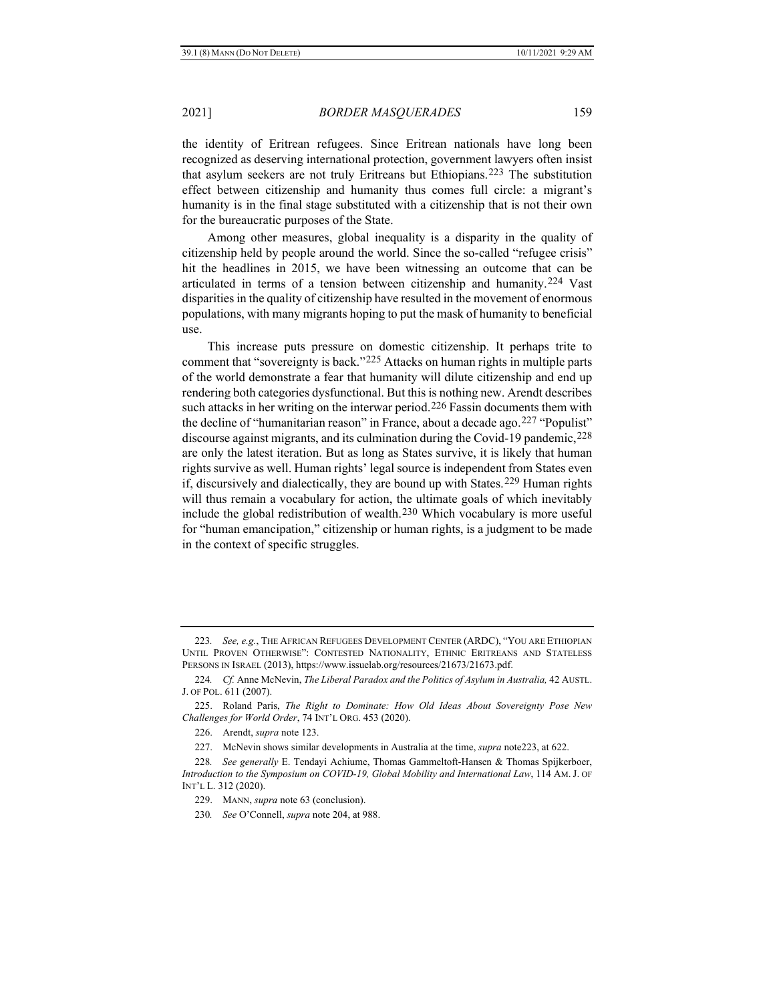the identity of Eritrean refugees. Since Eritrean nationals have long been recognized as deserving international protection, government lawyers often insist that asylum seekers are not truly Eritreans but Ethiopians.[223](#page-32-1) The substitution effect between citizenship and humanity thus comes full circle: a migrant's humanity is in the final stage substituted with a citizenship that is not their own for the bureaucratic purposes of the State.

Among other measures, global inequality is a disparity in the quality of citizenship held by people around the world. Since the so-called "refugee crisis" hit the headlines in 2015, we have been witnessing an outcome that can be articulated in terms of a tension between citizenship and humanity.[224](#page-32-2) Vast disparities in the quality of citizenship have resulted in the movement of enormous populations, with many migrants hoping to put the mask of humanity to beneficial use.

This increase puts pressure on domestic citizenship. It perhaps trite to comment that "sovereignty is back."[225](#page-32-3) Attacks on human rights in multiple parts of the world demonstrate a fear that humanity will dilute citizenship and end up rendering both categories dysfunctional. But this is nothing new. Arendt describes such attacks in her writing on the interwar period.<sup>[226](#page-32-4)</sup> Fassin documents them with the decline of "humanitarian reason" in France, about a decade ago.<sup>[227](#page-32-5)</sup> "Populist" discourse against migrants, and its culmination during the Covid-19 pandemic, <sup>228</sup> are only the latest iteration. But as long as States survive, it is likely that human rights survive as well. Human rights' legal source is independent from States even if, discursively and dialectically, they are bound up with States.<sup>229</sup> Human rights will thus remain a vocabulary for action, the ultimate goals of which inevitably include the global redistribution of wealth.<sup>230</sup> Which vocabulary is more useful for "human emancipation," citizenship or human rights, is a judgment to be made in the context of specific struggles.

<span id="page-32-0"></span>

<span id="page-32-1"></span><sup>223</sup>*. See, e.g.*, THE AFRICAN REFUGEES DEVELOPMENT CENTER (ARDC), "YOU ARE ETHIOPIAN UNTIL PROVEN OTHERWISE": CONTESTED NATIONALITY, ETHNIC ERITREANS AND STATELESS PERSONS IN ISRAEL (2013), https://www.issuelab.org/resources/21673/21673.pdf.

<span id="page-32-2"></span><sup>224</sup>*. Cf.* Anne McNevin, *The Liberal Paradox and the Politics of Asylum in Australia,* 42 AUSTL. J. OF POL. 611 (2007).

<span id="page-32-3"></span><sup>225.</sup> Roland Paris, *The Right to Dominate: How Old Ideas About Sovereignty Pose New Challenges for World Order*, 74 INT'L ORG. 453 (2020).

<sup>226.</sup> Arendt, *supra* note [123.](#page-17-7)

<sup>227.</sup> McNevin shows similar developments in Australia at the time, *supra* not[e223,](#page-32-0) at 622.

<span id="page-32-5"></span><span id="page-32-4"></span><sup>228</sup>*. See generally* E. Tendayi Achiume, Thomas Gammeltoft-Hansen & Thomas Spijkerboer, *Introduction to the Symposium on COVID-19, Global Mobility and International Law*, 114 AM. J. OF INT'L L. 312 (2020).

<sup>229.</sup> MANN, *supra* not[e 63](#page-9-8) (conclusion).

<sup>230</sup>*. See* O'Connell, *supra* note [204,](#page-29-9) at 988.